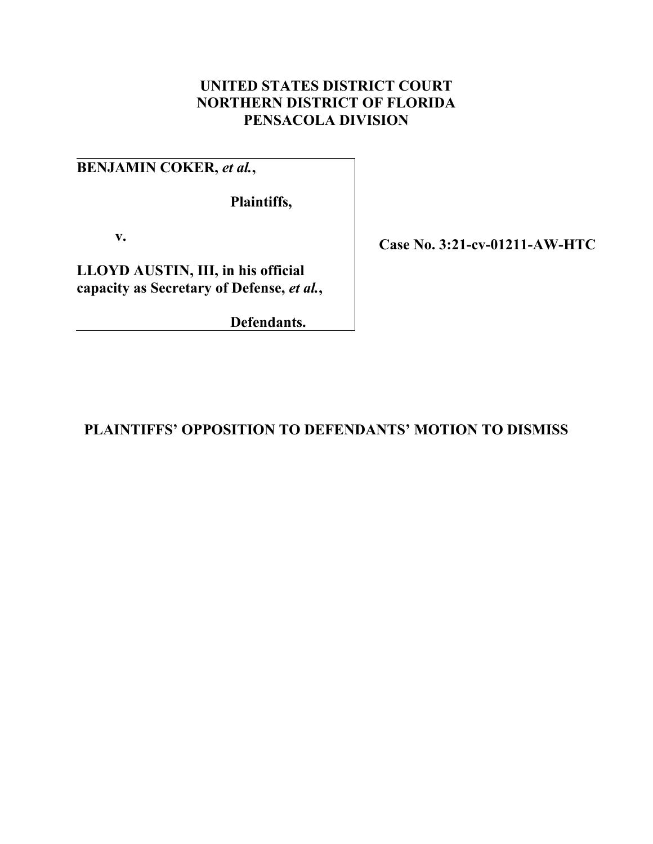# **UNITED STATES DISTRICT COURT NORTHERN DISTRICT OF FLORIDA PENSACOLA DIVISION**

**BENJAMIN COKER,** *et al.***,** 

**Plaintiffs,** 

**v.** 

**LLOYD AUSTIN, III, in his official capacity as Secretary of Defense,** *et al.***,** 

**Defendants.** 

**Case No. 3:21-cv-01211-AW-HTC** 

**PLAINTIFFS' OPPOSITION TO DEFENDANTS' MOTION TO DISMISS**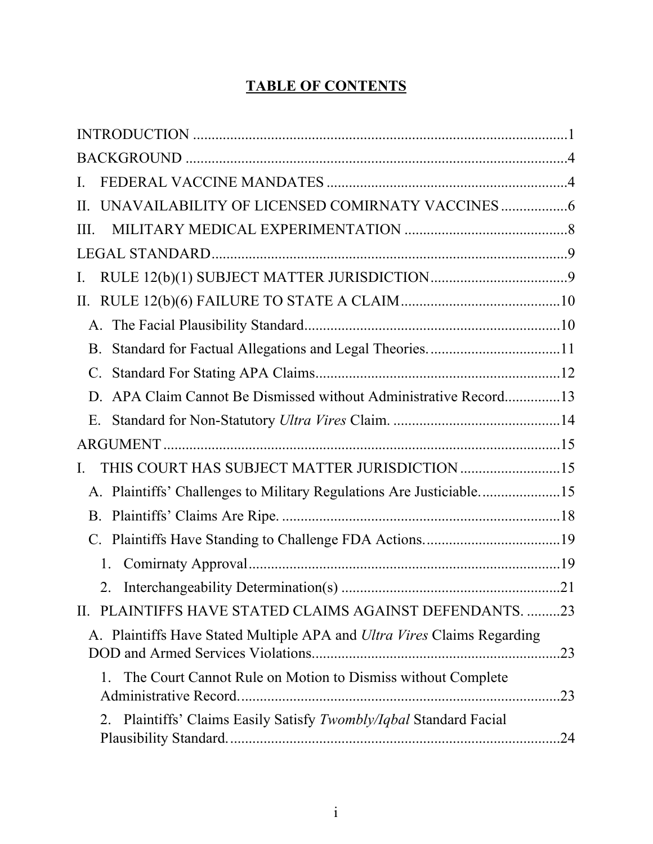# **TABLE OF CONTENTS**

| I.                                                                      |     |
|-------------------------------------------------------------------------|-----|
| II.                                                                     |     |
| III.                                                                    |     |
|                                                                         |     |
| Ι.                                                                      |     |
| П.                                                                      |     |
|                                                                         |     |
| B.                                                                      |     |
|                                                                         |     |
| APA Claim Cannot Be Dismissed without Administrative Record13           |     |
| E.                                                                      |     |
|                                                                         |     |
| THIS COURT HAS SUBJECT MATTER JURISDICTION 15<br>I.                     |     |
| A. Plaintiffs' Challenges to Military Regulations Are Justiciable15     |     |
|                                                                         |     |
| C.                                                                      |     |
| 1.                                                                      |     |
| 2.                                                                      |     |
| PLAINTIFFS HAVE STATED CLAIMS AGAINST DEFENDANTS23<br>П.                |     |
| A. Plaintiffs Have Stated Multiple APA and Ultra Vires Claims Regarding | .23 |
| The Court Cannot Rule on Motion to Dismiss without Complete<br>1.       |     |
| Plaintiffs' Claims Easily Satisfy Twombly/Iqbal Standard Facial<br>2.   |     |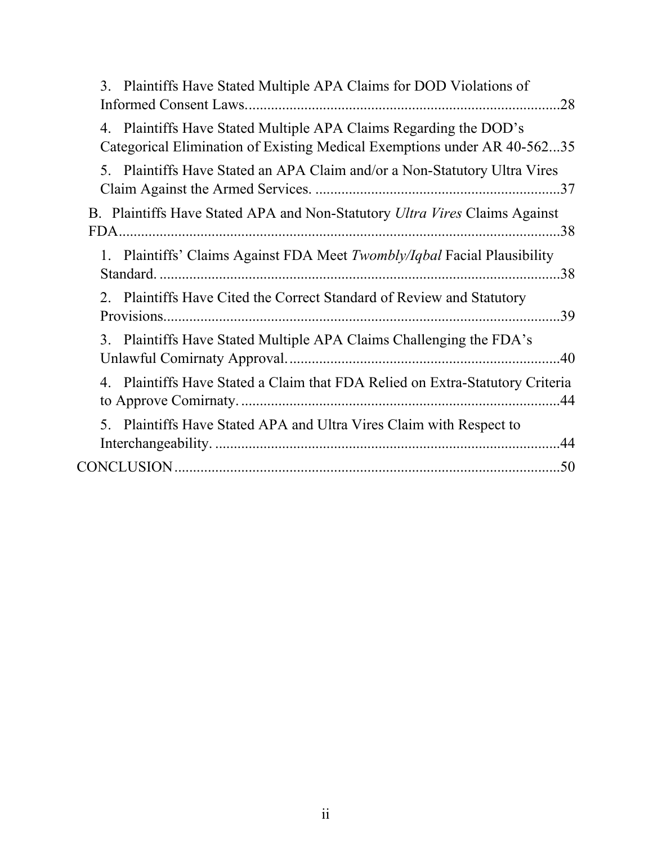| 3. Plaintiffs Have Stated Multiple APA Claims for DOD Violations of<br>.28                                                                    |  |
|-----------------------------------------------------------------------------------------------------------------------------------------------|--|
| 4. Plaintiffs Have Stated Multiple APA Claims Regarding the DOD's<br>Categorical Elimination of Existing Medical Exemptions under AR 40-56235 |  |
| 5. Plaintiffs Have Stated an APA Claim and/or a Non-Statutory Ultra Vires                                                                     |  |
| B. Plaintiffs Have Stated APA and Non-Statutory Ultra Vires Claims Against                                                                    |  |
| 1. Plaintiffs' Claims Against FDA Meet Twombly/Iqbal Facial Plausibility                                                                      |  |
| 2. Plaintiffs Have Cited the Correct Standard of Review and Statutory                                                                         |  |
| 3. Plaintiffs Have Stated Multiple APA Claims Challenging the FDA's                                                                           |  |
| 4. Plaintiffs Have Stated a Claim that FDA Relied on Extra-Statutory Criteria                                                                 |  |
| 5. Plaintiffs Have Stated APA and Ultra Vires Claim with Respect to                                                                           |  |
|                                                                                                                                               |  |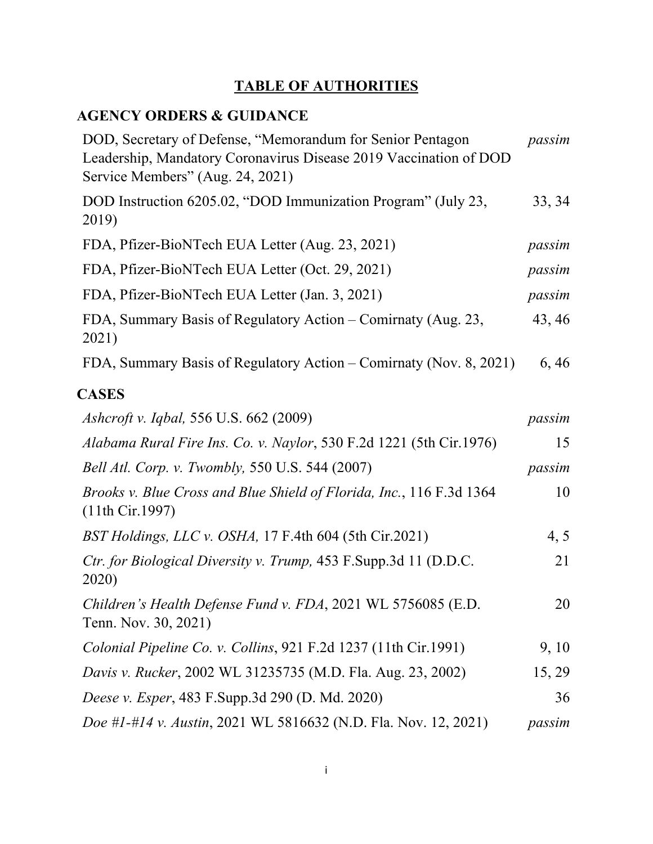# **TABLE OF AUTHORITIES**

# **AGENCY ORDERS & GUIDANCE**

| DOD, Secretary of Defense, "Memorandum for Senior Pentagon<br>Leadership, Mandatory Coronavirus Disease 2019 Vaccination of DOD<br>Service Members" (Aug. 24, 2021) | passim |
|---------------------------------------------------------------------------------------------------------------------------------------------------------------------|--------|
| DOD Instruction 6205.02, "DOD Immunization Program" (July 23,<br>2019)                                                                                              | 33, 34 |
| FDA, Pfizer-BioNTech EUA Letter (Aug. 23, 2021)                                                                                                                     | passim |
| FDA, Pfizer-BioNTech EUA Letter (Oct. 29, 2021)                                                                                                                     | passim |
| FDA, Pfizer-BioNTech EUA Letter (Jan. 3, 2021)                                                                                                                      | passim |
| FDA, Summary Basis of Regulatory Action – Comirnaty (Aug. 23,<br>2021)                                                                                              | 43, 46 |
| FDA, Summary Basis of Regulatory Action – Comirnaty (Nov. 8, 2021)                                                                                                  | 6,46   |
| <b>CASES</b>                                                                                                                                                        |        |
| <i>Ashcroft v. Iqbal, 556 U.S. 662 (2009)</i>                                                                                                                       | passim |
| Alabama Rural Fire Ins. Co. v. Naylor, 530 F.2d 1221 (5th Cir.1976)                                                                                                 | 15     |
| Bell Atl. Corp. v. Twombly, 550 U.S. 544 (2007)                                                                                                                     | passim |
| Brooks v. Blue Cross and Blue Shield of Florida, Inc., 116 F.3d 1364<br>(11th Cir.1997)                                                                             | 10     |
| BST Holdings, LLC v. OSHA, 17 F.4th 604 (5th Cir.2021)                                                                                                              | 4, 5   |
| Ctr. for Biological Diversity v. Trump, 453 F.Supp.3d 11 (D.D.C.<br>2020)                                                                                           | 21     |
| Children's Health Defense Fund v. FDA, 2021 WL 5756085 (E.D.<br>Tenn. Nov. 30, 2021)                                                                                | 20     |
| Colonial Pipeline Co. v. Collins, 921 F.2d 1237 (11th Cir.1991)                                                                                                     | 9, 10  |
| Davis v. Rucker, 2002 WL 31235735 (M.D. Fla. Aug. 23, 2002)                                                                                                         | 15, 29 |
| Deese v. Esper, 483 F. Supp. 3d 290 (D. Md. 2020)                                                                                                                   | 36     |
| Doe #1-#14 v. Austin, 2021 WL 5816632 (N.D. Fla. Nov. 12, 2021)                                                                                                     | passim |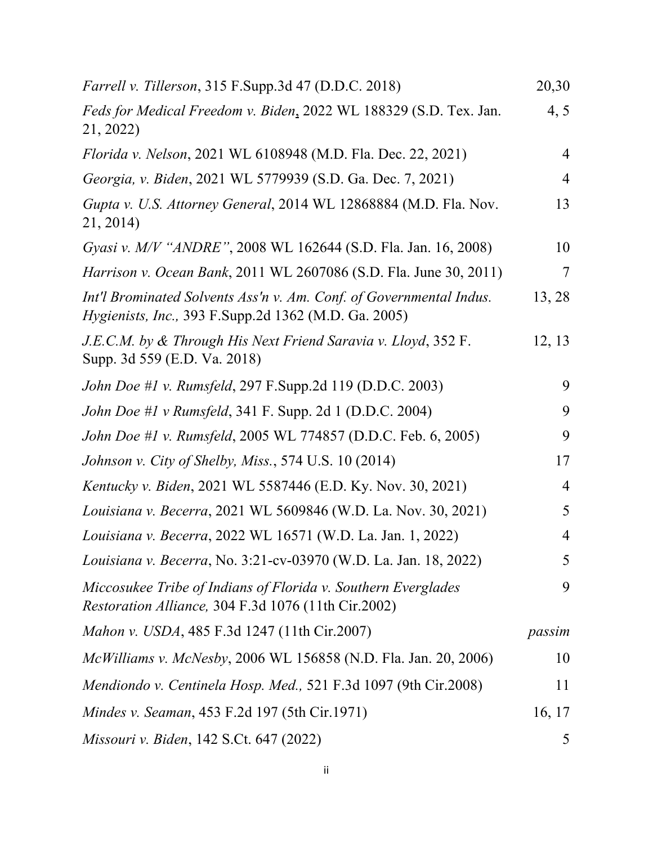| Farrell v. Tillerson, 315 F.Supp.3d 47 (D.D.C. 2018)                                                                               | 20,30          |
|------------------------------------------------------------------------------------------------------------------------------------|----------------|
| Feds for Medical Freedom v. Biden, 2022 WL 188329 (S.D. Tex. Jan.<br>21, 2022)                                                     | 4, 5           |
| Florida v. Nelson, 2021 WL 6108948 (M.D. Fla. Dec. 22, 2021)                                                                       | $\overline{4}$ |
| Georgia, v. Biden, 2021 WL 5779939 (S.D. Ga. Dec. 7, 2021)                                                                         | $\overline{4}$ |
| Gupta v. U.S. Attorney General, 2014 WL 12868884 (M.D. Fla. Nov.<br>21, 2014)                                                      | 13             |
| Gyasi v. M/V "ANDRE", 2008 WL 162644 (S.D. Fla. Jan. 16, 2008)                                                                     | 10             |
| <i>Harrison v. Ocean Bank</i> , 2011 WL 2607086 (S.D. Fla. June 30, 2011)                                                          | 7              |
| Int'l Brominated Solvents Ass'n v. Am. Conf. of Governmental Indus.<br><i>Hygienists, Inc., 393 F.Supp.2d 1362 (M.D. Ga. 2005)</i> | 13, 28         |
| J.E.C.M. by & Through His Next Friend Saravia v. Lloyd, 352 F.<br>Supp. 3d 559 (E.D. Va. 2018)                                     | 12, 13         |
| John Doe #1 v. Rumsfeld, 297 F.Supp.2d 119 (D.D.C. 2003)                                                                           | 9              |
| <i>John Doe #1 v Rumsfeld,</i> 341 F. Supp. 2d 1 (D.D.C. 2004)                                                                     | 9              |
| John Doe #1 v. Rumsfeld, 2005 WL 774857 (D.D.C. Feb. 6, 2005)                                                                      | 9              |
| Johnson v. City of Shelby, Miss., 574 U.S. 10 (2014)                                                                               | 17             |
| <i>Kentucky v. Biden, 2021 WL 5587446 (E.D. Ky. Nov. 30, 2021)</i>                                                                 | $\overline{4}$ |
| Louisiana v. Becerra, 2021 WL 5609846 (W.D. La. Nov. 30, 2021)                                                                     | 5              |
| Louisiana v. Becerra, 2022 WL 16571 (W.D. La. Jan. 1, 2022)                                                                        | $\overline{4}$ |
| Louisiana v. Becerra, No. 3:21-cv-03970 (W.D. La. Jan. 18, 2022)                                                                   | 5              |
| Miccosukee Tribe of Indians of Florida v. Southern Everglades<br>Restoration Alliance, 304 F.3d 1076 (11th Cir.2002)               | 9              |
| Mahon v. USDA, 485 F.3d 1247 (11th Cir.2007)                                                                                       | passim         |
| McWilliams v. McNesby, 2006 WL 156858 (N.D. Fla. Jan. 20, 2006)                                                                    | 10             |
| Mendiondo v. Centinela Hosp. Med., 521 F.3d 1097 (9th Cir.2008)                                                                    | 11             |
| Mindes v. Seaman, 453 F.2d 197 (5th Cir.1971)                                                                                      | 16, 17         |
| <i>Missouri v. Biden, 142 S.Ct. 647 (2022)</i>                                                                                     | 5              |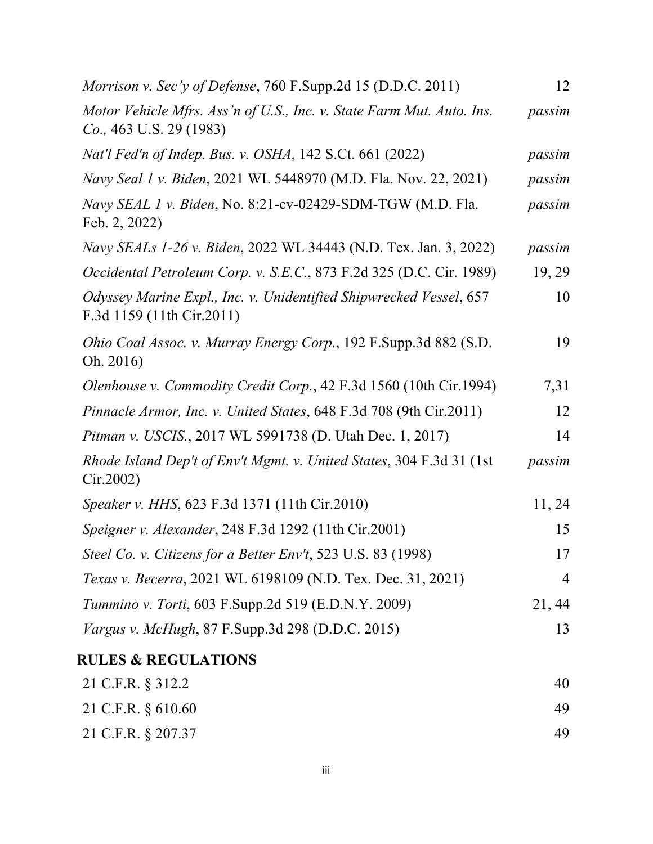| <i>Morrison v. Sec'y of Defense, 760 F.Supp.2d 15 (D.D.C. 2011)</i>                                | 12             |
|----------------------------------------------------------------------------------------------------|----------------|
| Motor Vehicle Mfrs. Ass'n of U.S., Inc. v. State Farm Mut. Auto. Ins.<br>$Co., 463$ U.S. 29 (1983) | passim         |
| Nat'l Fed'n of Indep. Bus. v. OSHA, 142 S.Ct. 661 (2022)                                           | passim         |
| Navy Seal 1 v. Biden, 2021 WL 5448970 (M.D. Fla. Nov. 22, 2021)                                    | passim         |
| Navy SEAL 1 v. Biden, No. 8:21-cv-02429-SDM-TGW (M.D. Fla.<br>Feb. 2, 2022)                        | passim         |
| Navy SEALs 1-26 v. Biden, 2022 WL 34443 (N.D. Tex. Jan. 3, 2022)                                   | passim         |
| Occidental Petroleum Corp. v. S.E.C., 873 F.2d 325 (D.C. Cir. 1989)                                | 19, 29         |
| Odyssey Marine Expl., Inc. v. Unidentified Shipwrecked Vessel, 657<br>F.3d 1159 (11th Cir.2011)    | 10             |
| Ohio Coal Assoc. v. Murray Energy Corp., 192 F.Supp.3d 882 (S.D.<br>Oh. 2016)                      | 19             |
| <i>Olenhouse v. Commodity Credit Corp.</i> , 42 F.3d 1560 (10th Cir.1994)                          | 7,31           |
| Pinnacle Armor, Inc. v. United States, 648 F.3d 708 (9th Cir.2011)                                 | 12             |
| Pitman v. USCIS., 2017 WL 5991738 (D. Utah Dec. 1, 2017)                                           | 14             |
| Rhode Island Dep't of Env't Mgmt. v. United States, 304 F.3d 31 (1st)<br>Cir.2002                  | passim         |
| <i>Speaker v. HHS, 623 F.3d 1371 (11th Cir.2010)</i>                                               | 11, 24         |
| Speigner v. Alexander, 248 F.3d 1292 (11th Cir.2001)                                               | 15             |
| Steel Co. v. Citizens for a Better Env't, 523 U.S. 83 (1998)                                       | 17             |
| Texas v. Becerra, 2021 WL 6198109 (N.D. Tex. Dec. 31, 2021)                                        | $\overline{4}$ |
| <i>Tummino v. Torti, 603 F.Supp.2d 519 (E.D.N.Y. 2009)</i>                                         | 21, 44         |
| Vargus v. McHugh, 87 F.Supp.3d 298 (D.D.C. 2015)                                                   | 13             |
| <b>RULES &amp; REGULATIONS</b>                                                                     |                |
| 21 C.F.R. § 312.2                                                                                  | 40             |
| 21 C.F.R. § 610.60                                                                                 | 49             |
| 21 C.F.R. § 207.37                                                                                 | 49             |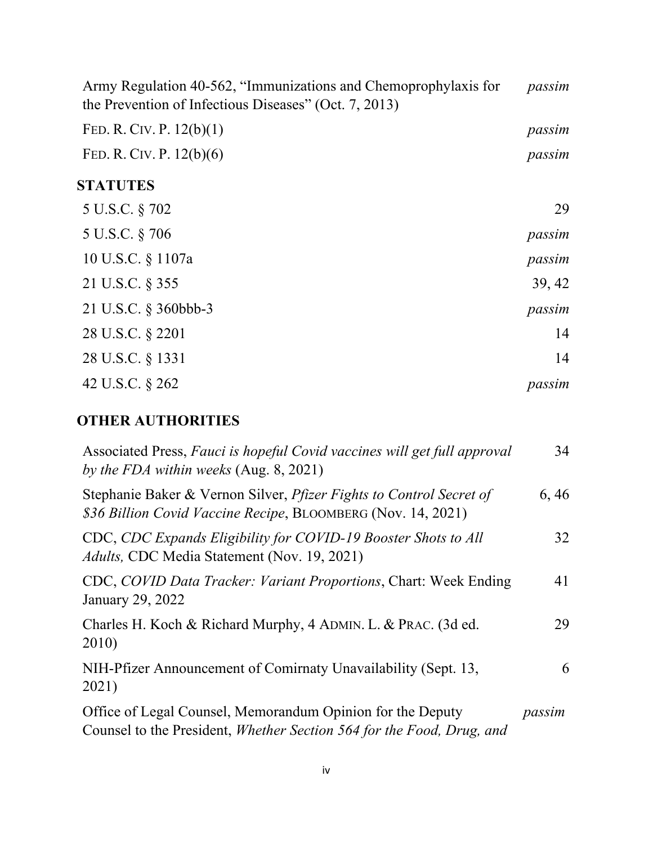| Army Regulation 40-562, "Immunizations and Chemoprophylaxis for<br>the Prevention of Infectious Diseases" (Oct. 7, 2013) | passim |
|--------------------------------------------------------------------------------------------------------------------------|--------|
| FED. R. CIV. P. $12(b)(1)$                                                                                               | passim |
| FED. R. CIV. P. $12(b)(6)$                                                                                               | passim |
| <b>STATUTES</b>                                                                                                          |        |
| 5 U.S.C. § 702                                                                                                           | 29     |
| 5 U.S.C. § 706                                                                                                           | passim |
| 10 U.S.C. § 1107a                                                                                                        | passim |
| 21 U.S.C. § 355                                                                                                          | 39, 42 |
| 21 U.S.C. § 360bbb-3                                                                                                     | passim |
| 28 U.S.C. § 2201                                                                                                         | 14     |
| 28 U.S.C. § 1331                                                                                                         | 14     |
| 42 U.S.C. § 262                                                                                                          | passim |

# **OTHER AUTHORITIES**

| Associated Press, Fauci is hopeful Covid vaccines will get full approval<br>by the FDA within weeks (Aug. 8, 2021)                         | 34     |
|--------------------------------------------------------------------------------------------------------------------------------------------|--------|
| Stephanie Baker & Vernon Silver, <i>Pfizer Fights to Control Secret of</i><br>\$36 Billion Covid Vaccine Recipe, BLOOMBERG (Nov. 14, 2021) | 6,46   |
| CDC, CDC Expands Eligibility for COVID-19 Booster Shots to All<br>Adults, CDC Media Statement (Nov. 19, 2021)                              | 32     |
| CDC, COVID Data Tracker: Variant Proportions, Chart: Week Ending<br>January 29, 2022                                                       | 41     |
| Charles H. Koch & Richard Murphy, 4 ADMIN. L. & PRAC. (3d ed.<br>2010)                                                                     | 29     |
| NIH-Pfizer Announcement of Comirnaty Unavailability (Sept. 13,<br>2021)                                                                    | 6      |
| Office of Legal Counsel, Memorandum Opinion for the Deputy<br>Counsel to the President, Whether Section 564 for the Food, Drug, and        | passim |
|                                                                                                                                            |        |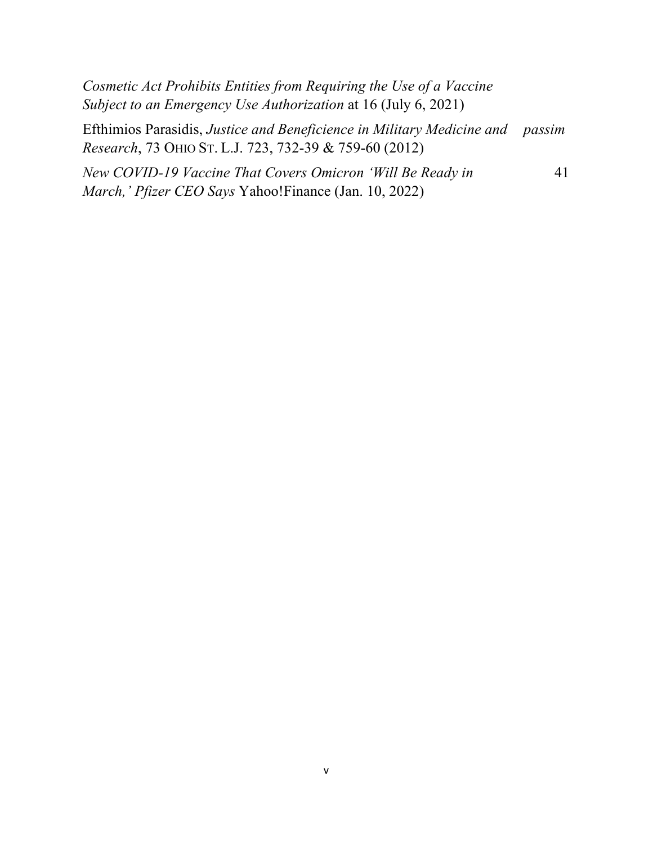| Cosmetic Act Prohibits Entities from Requiring the Use of a Vaccine<br>Subject to an Emergency Use Authorization at 16 (July 6, 2021)   |    |
|-----------------------------------------------------------------------------------------------------------------------------------------|----|
| Efthimios Parasidis, Justice and Beneficience in Military Medicine and passim<br>Research, 73 OHIO ST. L.J. 723, 732-39 & 759-60 (2012) |    |
| New COVID-19 Vaccine That Covers Omicron 'Will Be Ready in<br><i>March,' Pfizer CEO Says Yahoo!Finance (Jan. 10, 2022)</i>              | 41 |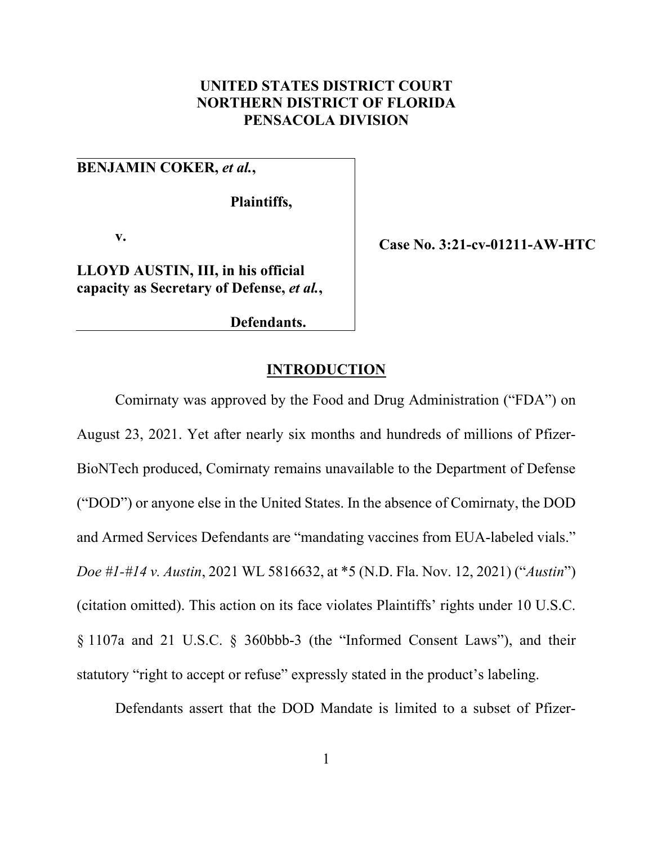## **UNITED STATES DISTRICT COURT NORTHERN DISTRICT OF FLORIDA PENSACOLA DIVISION**

## **BENJAMIN COKER,** *et al.***,**

**Plaintiffs,**

**v.**

**LLOYD AUSTIN, III, in his official capacity as Secretary of Defense,** *et al.***,**

**Defendants.**

**Case No. 3:21-cv-01211-AW-HTC**

## **INTRODUCTION**

Comirnaty was approved by the Food and Drug Administration ("FDA") on August 23, 2021. Yet after nearly six months and hundreds of millions of Pfizer-BioNTech produced, Comirnaty remains unavailable to the Department of Defense ("DOD") or anyone else in the United States. In the absence of Comirnaty, the DOD and Armed Services Defendants are "mandating vaccines from EUA-labeled vials." *Doe #1-#14 v. Austin*, 2021 WL 5816632, at \*5 (N.D. Fla. Nov. 12, 2021) ("*Austin*") (citation omitted). This action on its face violates Plaintiffs' rights under 10 U.S.C. § 1107a and 21 U.S.C. § 360bbb-3 (the "Informed Consent Laws"), and their statutory "right to accept or refuse" expressly stated in the product's labeling.

Defendants assert that the DOD Mandate is limited to a subset of Pfizer-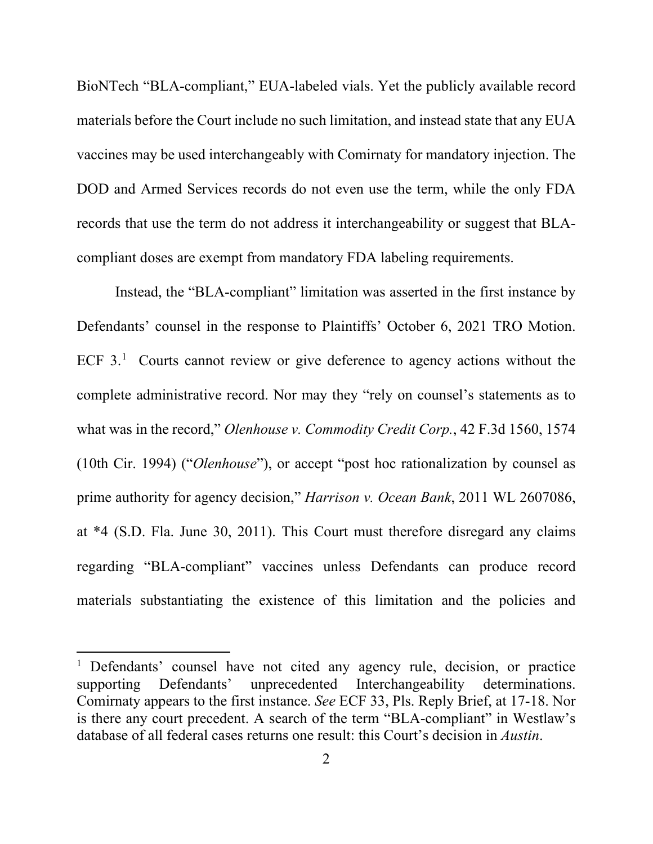BioNTech "BLA-compliant," EUA-labeled vials. Yet the publicly available record materials before the Court include no such limitation, and instead state that any EUA vaccines may be used interchangeably with Comirnaty for mandatory injection. The DOD and Armed Services records do not even use the term, while the only FDA records that use the term do not address it interchangeability or suggest that BLAcompliant doses are exempt from mandatory FDA labeling requirements.

Instead, the "BLA-compliant" limitation was asserted in the first instance by Defendants' counsel in the response to Plaintiffs' October 6, 2021 TRO Motion. ECF 3.<sup>[1](#page-9-0)</sup> Courts cannot review or give deference to agency actions without the complete administrative record. Nor may they "rely on counsel's statements as to what was in the record," *Olenhouse v. Commodity Credit Corp.*, 42 F.3d 1560, 1574 (10th Cir. 1994) ("*Olenhouse*"), or accept "post hoc rationalization by counsel as prime authority for agency decision," *Harrison v. Ocean Bank*, 2011 WL 2607086, at \*4 (S.D. Fla. June 30, 2011). This Court must therefore disregard any claims regarding "BLA-compliant" vaccines unless Defendants can produce record materials substantiating the existence of this limitation and the policies and

<span id="page-9-0"></span><sup>&</sup>lt;sup>1</sup> Defendants' counsel have not cited any agency rule, decision, or practice supporting Defendants' unprecedented Interchangeability determinations. Comirnaty appears to the first instance. *See* ECF 33, Pls. Reply Brief, at 17-18. Nor is there any court precedent. A search of the term "BLA-compliant" in Westlaw's database of all federal cases returns one result: this Court's decision in *Austin*.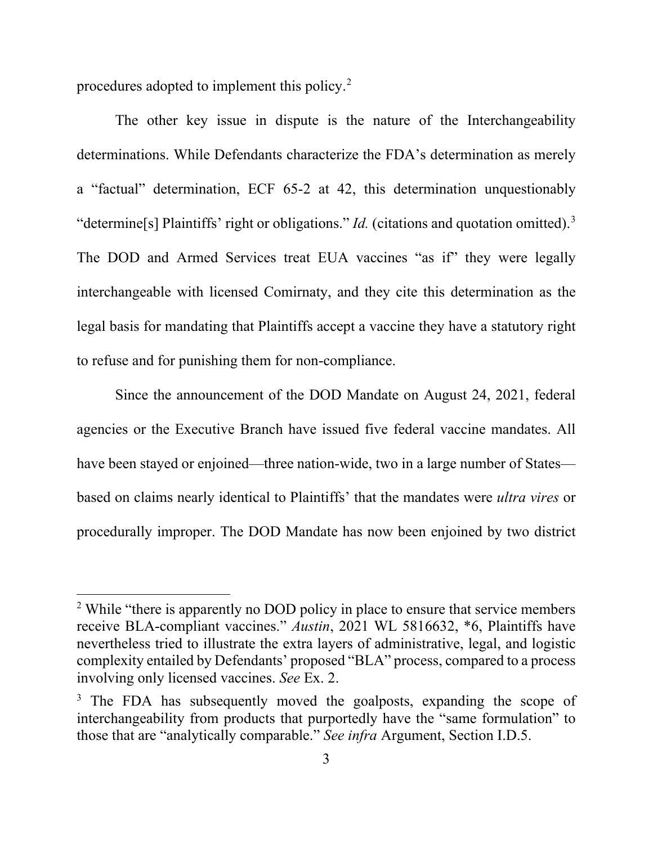procedures adopted to implement this policy. [2](#page-10-0)

The other key issue in dispute is the nature of the Interchangeability determinations. While Defendants characterize the FDA's determination as merely a "factual" determination, ECF 65-2 at 42, this determination unquestionably "determine<sup>[s]</sup> Plaintiffs' right or obligations." *Id.* (citations and quotation omitted).<sup>[3](#page-10-1)</sup> The DOD and Armed Services treat EUA vaccines "as if" they were legally interchangeable with licensed Comirnaty, and they cite this determination as the legal basis for mandating that Plaintiffs accept a vaccine they have a statutory right to refuse and for punishing them for non-compliance.

Since the announcement of the DOD Mandate on August 24, 2021, federal agencies or the Executive Branch have issued five federal vaccine mandates. All have been stayed or enjoined—three nation-wide, two in a large number of States based on claims nearly identical to Plaintiffs' that the mandates were *ultra vires* or procedurally improper. The DOD Mandate has now been enjoined by two district

<span id="page-10-0"></span><sup>&</sup>lt;sup>2</sup> While "there is apparently no DOD policy in place to ensure that service members receive BLA-compliant vaccines." *Austin*, 2021 WL 5816632, \*6, Plaintiffs have nevertheless tried to illustrate the extra layers of administrative, legal, and logistic complexity entailed by Defendants' proposed "BLA" process, compared to a process involving only licensed vaccines. *See* Ex. 2.

<span id="page-10-1"></span><sup>&</sup>lt;sup>3</sup> The FDA has subsequently moved the goalposts, expanding the scope of interchangeability from products that purportedly have the "same formulation" to those that are "analytically comparable." *See infra* Argument, Section [I.D.5.](#page-51-0)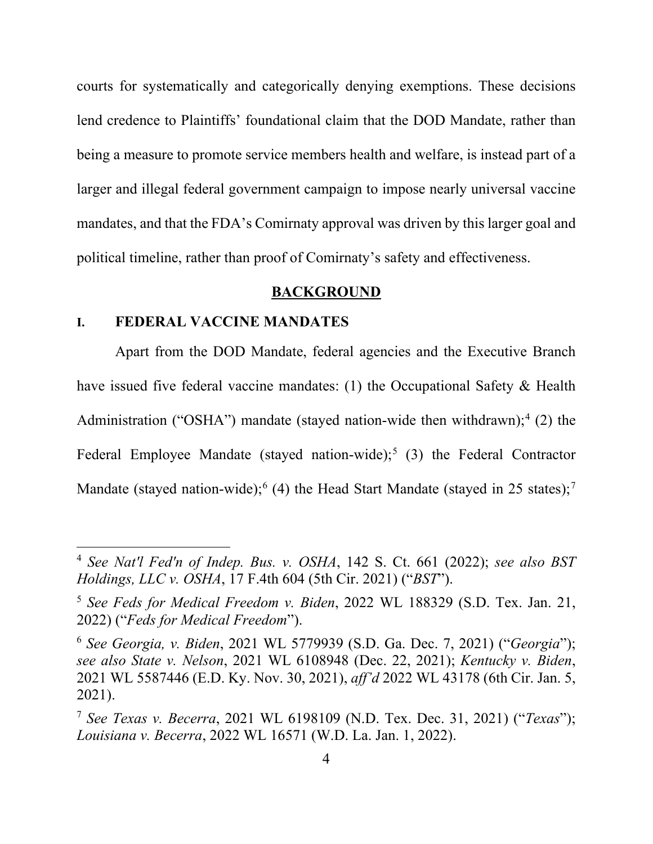courts for systematically and categorically denying exemptions. These decisions lend credence to Plaintiffs' foundational claim that the DOD Mandate, rather than being a measure to promote service members health and welfare, is instead part of a larger and illegal federal government campaign to impose nearly universal vaccine mandates, and that the FDA's Comirnaty approval was driven by this larger goal and political timeline, rather than proof of Comirnaty's safety and effectiveness.

#### **BACKGROUND**

#### <span id="page-11-4"></span>**I. FEDERAL VACCINE MANDATES**

Apart from the DOD Mandate, federal agencies and the Executive Branch have issued five federal vaccine mandates: (1) the Occupational Safety & Health Administration ("OSHA") mandate (stayed nation-wide then withdrawn);<sup>[4](#page-11-0)</sup> (2) the Federal Employee Mandate (stayed nation-wide);<sup>[5](#page-11-1)</sup> (3) the Federal Contractor Mandate (stayed nation-wide);  $(4)$  the Head Start Mandate (stayed in 25 states); [7](#page-11-3)

<span id="page-11-0"></span><sup>4</sup> *See Nat'l Fed'n of Indep. Bus. v. OSHA*, 142 S. Ct. 661 (2022); *see also BST Holdings, LLC v. OSHA*, 17 F.4th 604 (5th Cir. 2021) ("*BST*").

<span id="page-11-1"></span><sup>5</sup> *See Feds for Medical Freedom v. Biden*, 2022 WL 188329 (S.D. Tex. Jan. 21, 2022) ("*Feds for Medical Freedom*").

<span id="page-11-2"></span><sup>6</sup> *See Georgia, v. Biden*, 2021 WL 5779939 (S.D. Ga. Dec. 7, 2021) ("*Georgia*"); *see also State v. Nelson*, 2021 WL 6108948 (Dec. 22, 2021); *Kentucky v. Biden*, 2021 WL 5587446 (E.D. Ky. Nov. 30, 2021), *aff'd* 2022 WL 43178 (6th Cir. Jan. 5, 2021).

<span id="page-11-3"></span><sup>7</sup> *See Texas v. Becerra*, 2021 WL 6198109 (N.D. Tex. Dec. 31, 2021) ("*Texas*"); *Louisiana v. Becerra*, 2022 WL 16571 (W.D. La. Jan. 1, 2022).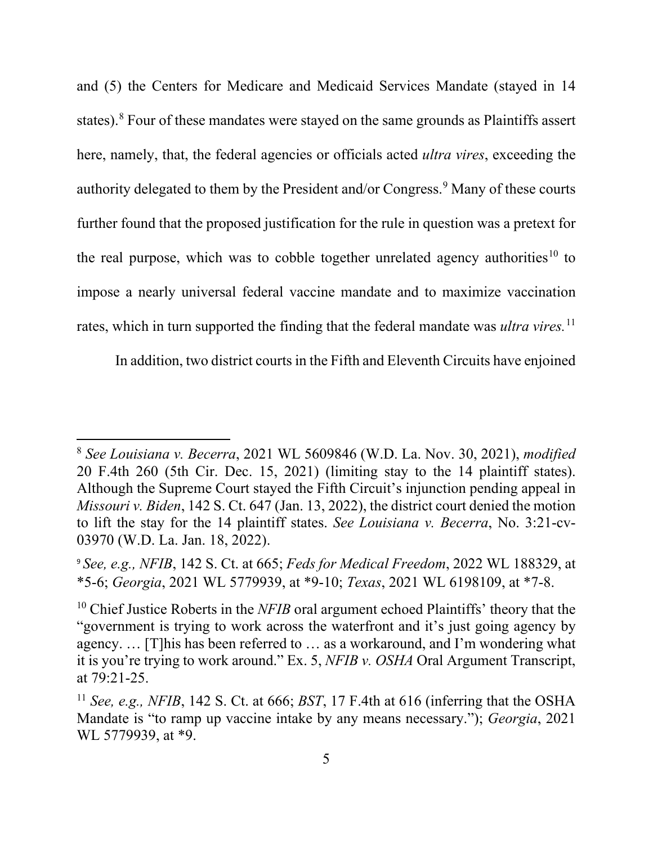and (5) the Centers for Medicare and Medicaid Services Mandate (stayed in 14 states).<sup>[8](#page-12-0)</sup> Four of these mandates were stayed on the same grounds as Plaintiffs assert here, namely, that, the federal agencies or officials acted *ultra vires*, exceeding the authority delegated to them by the President and/or Congress.<sup>[9](#page-12-1)</sup> Many of these courts further found that the proposed justification for the rule in question was a pretext for the real purpose, which was to cobble together unrelated agency authorities<sup>[10](#page-12-2)</sup> to impose a nearly universal federal vaccine mandate and to maximize vaccination rates, which in turn supported the finding that the federal mandate was *ultra vires.*[11](#page-12-3)

In addition, two district courts in the Fifth and Eleventh Circuits have enjoined

<span id="page-12-0"></span><sup>8</sup> *See Louisiana v. Becerra*, 2021 WL 5609846 (W.D. La. Nov. 30, 2021), *modified*  20 F.4th 260 (5th Cir. Dec. 15, 2021) (limiting stay to the 14 plaintiff states). Although the Supreme Court stayed the Fifth Circuit's injunction pending appeal in *Missouri v. Biden*, 142 S. Ct. 647 (Jan. 13, 2022), the district court denied the motion to lift the stay for the 14 plaintiff states. *See Louisiana v. Becerra*, No. 3:21-cv-03970 (W.D. La. Jan. 18, 2022).

<span id="page-12-1"></span><sup>9</sup> *See, e.g., NFIB*, 142 S. Ct. at 665; *Feds for Medical Freedom*, 2022 WL 188329, at \*5-6; *Georgia*, 2021 WL 5779939, at \*9-10; *Texas*, 2021 WL 6198109, at \*7-8.

<span id="page-12-2"></span><sup>&</sup>lt;sup>10</sup> Chief Justice Roberts in the *NFIB* oral argument echoed Plaintiffs' theory that the "government is trying to work across the waterfront and it's just going agency by agency. … [T]his has been referred to … as a workaround, and I'm wondering what it is you're trying to work around." Ex. 5, *NFIB v. OSHA* Oral Argument Transcript, at 79:21-25.

<span id="page-12-3"></span><sup>11</sup> *See, e.g., NFIB*, 142 S. Ct. at 666; *BST*, 17 F.4th at 616 (inferring that the OSHA Mandate is "to ramp up vaccine intake by any means necessary."); *Georgia*, 2021 WL 5779939, at \*9.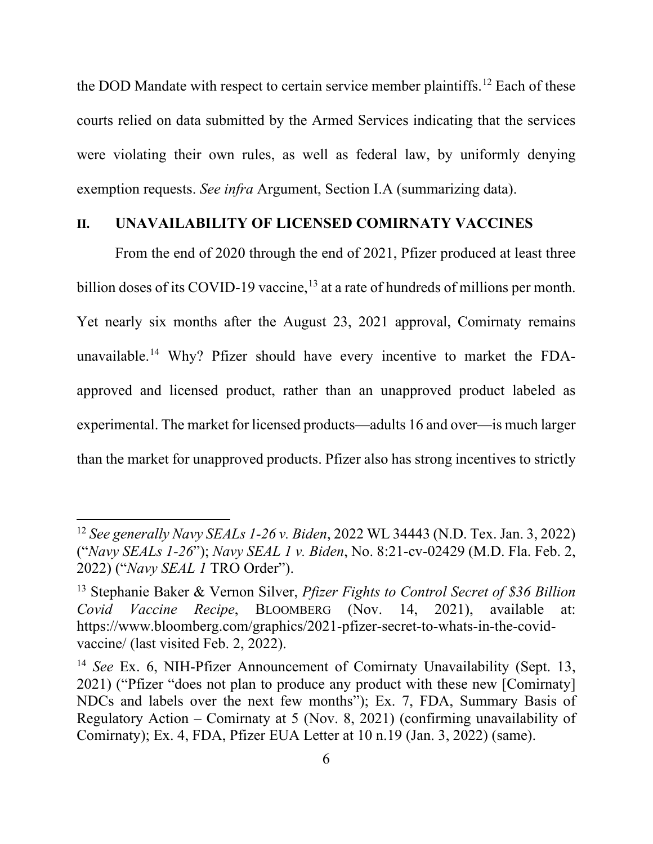the DOD Mandate with respect to certain service member plaintiffs.<sup>[12](#page-13-0)</sup> Each of these courts relied on data submitted by the Armed Services indicating that the services were violating their own rules, as well as federal law, by uniformly denying exemption requests. *See infra* Argument, Section [I.A](#page-22-0) (summarizing data).

#### <span id="page-13-3"></span>**II. UNAVAILABILITY OF LICENSED COMIRNATY VACCINES**

<span id="page-13-4"></span>From the end of 2020 through the end of 2021, Pfizer produced at least three billion doses of its COVID-19 vaccine,<sup>[13](#page-13-1)</sup> at a rate of hundreds of millions per month. Yet nearly six months after the August 23, 2021 approval, Comirnaty remains unavailable. [14](#page-13-2) Why? Pfizer should have every incentive to market the FDAapproved and licensed product, rather than an unapproved product labeled as experimental. The market for licensed products—adults 16 and over—is much larger than the market for unapproved products. Pfizer also has strong incentives to strictly

<span id="page-13-0"></span><sup>12</sup> *See generally Navy SEALs 1-26 v. Biden*, 2022 WL 34443 (N.D. Tex. Jan. 3, 2022) ("*Navy SEALs 1-26*"); *Navy SEAL 1 v. Biden*, No. 8:21-cv-02429 (M.D. Fla. Feb. 2, 2022) ("*Navy SEAL 1* TRO Order").

<span id="page-13-1"></span><sup>13</sup> Stephanie Baker & Vernon Silver, *Pfizer Fights to Control Secret of \$36 Billion Covid Vaccine Recipe*, BLOOMBERG (Nov. 14, 2021), available at: https://www.bloomberg.com/graphics/2021-pfizer-secret-to-whats-in-the-covidvaccine/ (last visited Feb. 2, 2022).

<span id="page-13-2"></span><sup>&</sup>lt;sup>14</sup> *See* Ex. 6, NIH-Pfizer Announcement of Comirnaty Unavailability (Sept. 13, 2021) ("Pfizer "does not plan to produce any product with these new [Comirnaty] NDCs and labels over the next few months"); Ex. 7, FDA, Summary Basis of Regulatory Action – Comirnaty at 5 (Nov. 8, 2021) (confirming unavailability of Comirnaty); Ex. 4, FDA, Pfizer EUA Letter at 10 n.19 (Jan. 3, 2022) (same).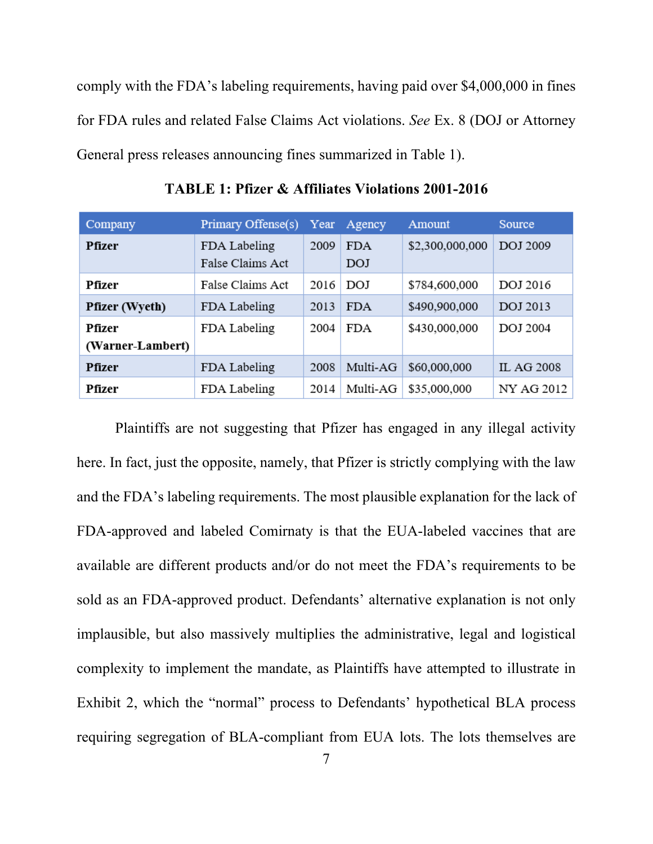comply with the FDA's labeling requirements, having paid over \$4,000,000 in fines for FDA rules and related False Claims Act violations. *See* Ex. 8 (DOJ or Attorney General press releases announcing fines summarized in Table 1).

| Company                    | Primary Offense(s)               | Year | Agency            | Amount          | Source            |
|----------------------------|----------------------------------|------|-------------------|-----------------|-------------------|
| <b>Pfizer</b>              | FDA Labeling<br>False Claims Act | 2009 | <b>FDA</b><br>DOJ | \$2,300,000,000 | <b>DOJ 2009</b>   |
| Pfizer                     | False Claims Act                 | 2016 | DOJ               | \$784,600,000   | DOJ 2016          |
| <b>Pfizer</b> (Wyeth)      | FDA Labeling                     | 2013 | <b>FDA</b>        | \$490,900,000   | <b>DOJ 2013</b>   |
| Pfizer<br>(Warner-Lambert) | FDA Labeling                     | 2004 | <b>FDA</b>        | \$430,000,000   | <b>DOJ 2004</b>   |
| Pfizer                     | FDA Labeling                     | 2008 | Multi-AG          | \$60,000,000    | <b>IL AG 2008</b> |
| Pfizer                     | FDA Labeling                     | 2014 | Multi-AG          | \$35,000,000    | NY AG 2012        |

**TABLE 1: Pfizer & Affiliates Violations 2001-2016**

Plaintiffs are not suggesting that Pfizer has engaged in any illegal activity here. In fact, just the opposite, namely, that Pfizer is strictly complying with the law and the FDA's labeling requirements. The most plausible explanation for the lack of FDA-approved and labeled Comirnaty is that the EUA-labeled vaccines that are available are different products and/or do not meet the FDA's requirements to be sold as an FDA-approved product. Defendants' alternative explanation is not only implausible, but also massively multiplies the administrative, legal and logistical complexity to implement the mandate, as Plaintiffs have attempted to illustrate in Exhibit 2, which the "normal" process to Defendants' hypothetical BLA process requiring segregation of BLA-compliant from EUA lots. The lots themselves are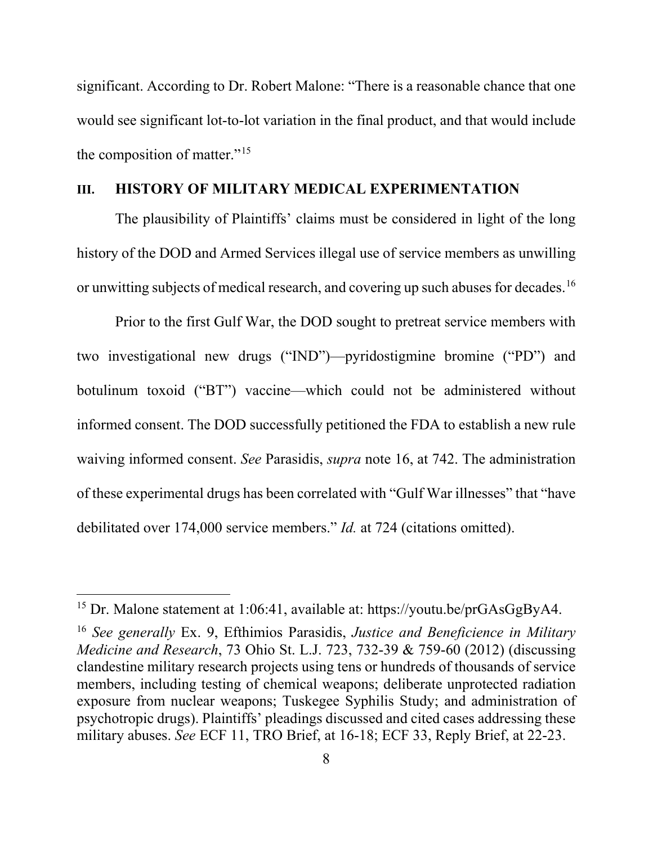significant. According to Dr. Robert Malone: "There is a reasonable chance that one would see significant lot-to-lot variation in the final product, and that would include the composition of matter." $15$ 

#### <span id="page-15-3"></span>**III. HISTORY OF MILITARY MEDICAL EXPERIMENTATION**

The plausibility of Plaintiffs' claims must be considered in light of the long history of the DOD and Armed Services illegal use of service members as unwilling or unwitting subjects of medical research, and covering up such abuses for decades. [16](#page-15-2)

<span id="page-15-0"></span>Prior to the first Gulf War, the DOD sought to pretreat service members with two investigational new drugs ("IND")—pyridostigmine bromine ("PD") and botulinum toxoid ("BT") vaccine—which could not be administered without informed consent. The DOD successfully petitioned the FDA to establish a new rule waiving informed consent. *See* Parasidis, *supra* note [16,](#page-15-0) at 742. The administration of these experimental drugs has been correlated with "Gulf War illnesses" that "have debilitated over 174,000 service members." *Id.* at 724 (citations omitted).

<span id="page-15-1"></span><sup>15</sup> Dr. Malone statement at 1:06:41, available at: https://youtu.be/prGAsGgByA4.

<span id="page-15-2"></span><sup>16</sup> *See generally* Ex. 9, Efthimios Parasidis, *Justice and Beneficience in Military Medicine and Research*, 73 Ohio St. L.J. 723, 732-39 & 759-60 (2012) (discussing clandestine military research projects using tens or hundreds of thousands of service members, including testing of chemical weapons; deliberate unprotected radiation exposure from nuclear weapons; Tuskegee Syphilis Study; and administration of psychotropic drugs). Plaintiffs' pleadings discussed and cited cases addressing these military abuses. *See* ECF 11, TRO Brief, at 16-18; ECF 33, Reply Brief, at 22-23.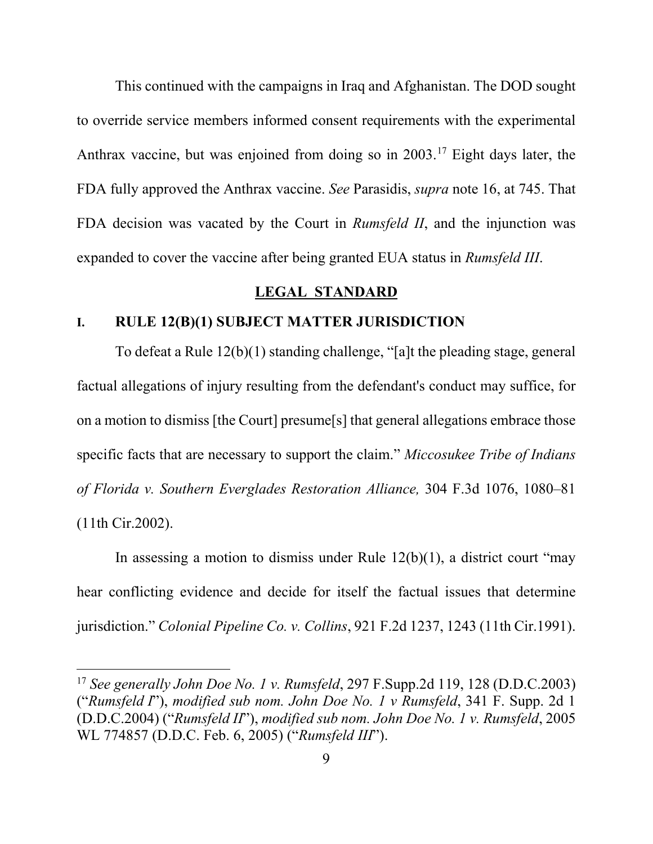This continued with the campaigns in Iraq and Afghanistan. The DOD sought to override service members informed consent requirements with the experimental Anthrax vaccine, but was enjoined from doing so in  $2003$ .<sup>[17](#page-16-0)</sup> Eight days later, the FDA fully approved the Anthrax vaccine. *See* Parasidis, *supra* note [16,](#page-15-0) at 745. That FDA decision was vacated by the Court in *Rumsfeld II*, and the injunction was expanded to cover the vaccine after being granted EUA status in *Rumsfeld III*.

#### **LEGAL STANDARD**

## **I. RULE 12(B)(1) SUBJECT MATTER JURISDICTION**

To defeat a Rule 12(b)(1) standing challenge, "[a]t the pleading stage, general factual allegations of injury resulting from the defendant's conduct may suffice, for on a motion to dismiss [the Court] presume[s] that general allegations embrace those specific facts that are necessary to support the claim." *Miccosukee Tribe of Indians of Florida v. Southern Everglades Restoration Alliance,* 304 F.3d 1076, 1080–81 (11th Cir.2002).

In assessing a motion to dismiss under Rule  $12(b)(1)$ , a district court "may hear conflicting evidence and decide for itself the factual issues that determine jurisdiction." *Colonial Pipeline Co. v. Collins*, 921 F.2d 1237, 1243 (11th Cir.1991).

<span id="page-16-0"></span><sup>17</sup> *See generally John Doe No. 1 v. Rumsfeld*, 297 F.Supp.2d 119, 128 (D.D.C.2003) ("*Rumsfeld I*"), *modified sub nom. John Doe No. 1 v Rumsfeld*, 341 F. Supp. 2d 1 (D.D.C.2004) ("*Rumsfeld II*"), *modified sub nom. John Doe No. 1 v. Rumsfeld*, 2005 WL 774857 (D.D.C. Feb. 6, 2005) ("*Rumsfeld III*").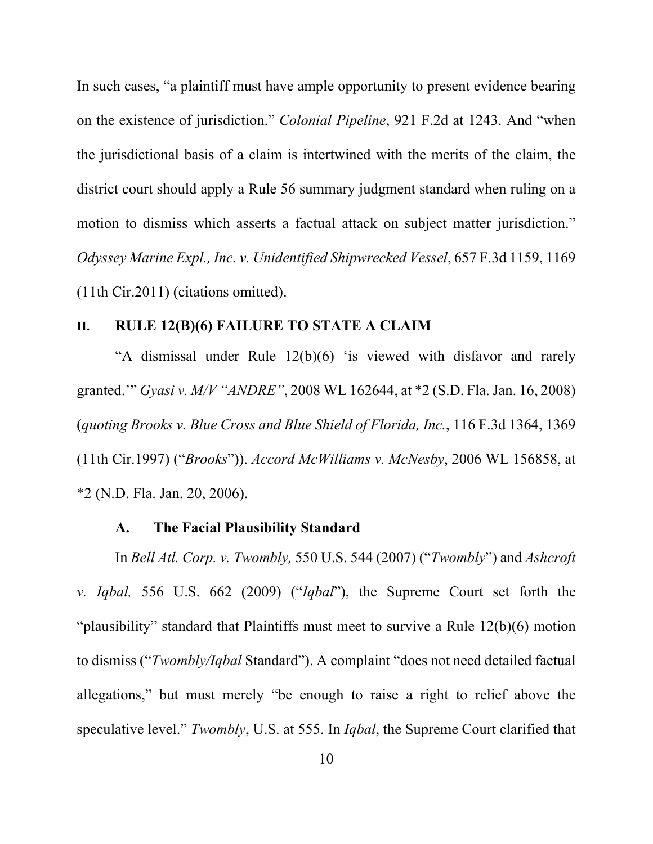In such cases, "a plaintiff must have ample opportunity to present evidence bearing on the existence of jurisdiction." *Colonial Pipeline*, 921 F.2d at 1243. And "when the jurisdictional basis of a claim is intertwined with the merits of the claim, the district court should apply a Rule 56 summary judgment standard when ruling on a motion to dismiss which asserts a factual attack on subject matter jurisdiction." *Odyssey Marine Expl., Inc. v. Unidentified Shipwrecked Vessel*, 657 F.3d 1159, 1169 (11th Cir.2011) (citations omitted).

## **II. RULE 12(B)(6) FAILURE TO STATE A CLAIM**

"A dismissal under Rule 12(b)(6) 'is viewed with disfavor and rarely granted.'" *Gyasi v. M/V "ANDRE"*, 2008 WL 162644, at \*2 (S.D. Fla. Jan. 16, 2008) (*quoting Brooks v. Blue Cross and Blue Shield of Florida, Inc.*, 116 F.3d 1364, 1369 (11th Cir.1997) ("*Brooks*")). *Accord McWilliams v. McNesby*, 2006 WL 156858, at \*2 (N.D. Fla. Jan. 20, 2006).

#### **A. The Facial Plausibility Standard**

In *Bell Atl. Corp. v. Twombly,* 550 U.S. 544 (2007) ("*Twombly*") and *Ashcroft v. Iqbal,* 556 U.S. 662 (2009) ("*Iqbal*"), the Supreme Court set forth the "plausibility" standard that Plaintiffs must meet to survive a Rule 12(b)(6) motion to dismiss ("*Twombly/Iqbal* Standard"). A complaint "does not need detailed factual allegations," but must merely "be enough to raise a right to relief above the speculative level." *Twombly*, U.S. at 555. In *Iqbal*, the Supreme Court clarified that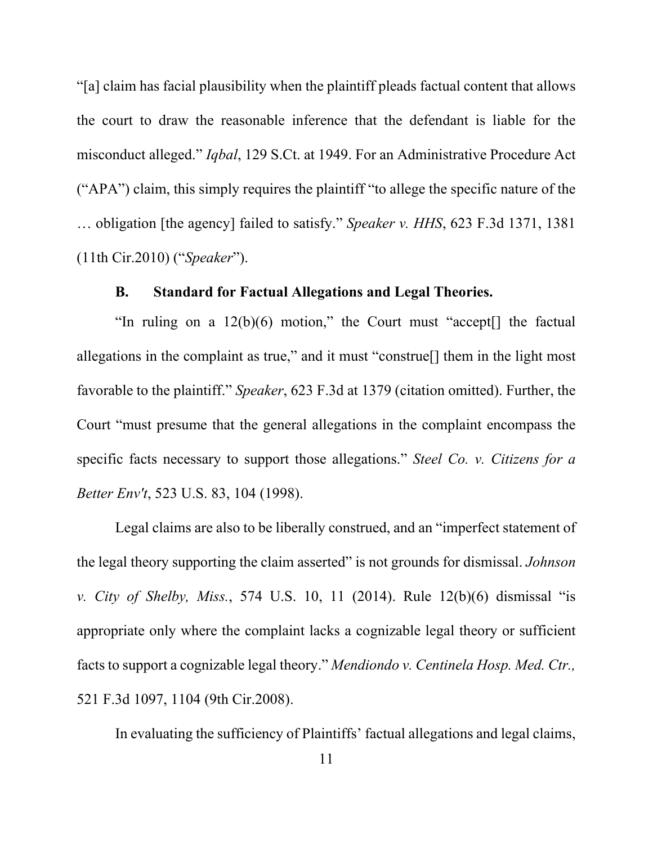"[a] claim has facial plausibility when the plaintiff pleads factual content that allows the court to draw the reasonable inference that the defendant is liable for the misconduct alleged." *Iqbal*, 129 S.Ct. at 1949. For an Administrative Procedure Act ("APA") claim, this simply requires the plaintiff "to allege the specific nature of the … obligation [the agency] failed to satisfy." *Speaker v. HHS*, 623 F.3d 1371, 1381 (11th Cir.2010) ("*Speaker*").

## **B. Standard for Factual Allegations and Legal Theories.**

"In ruling on a  $12(b)(6)$  motion," the Court must "accept<sup>[]</sup> the factual allegations in the complaint as true," and it must "construe[] them in the light most favorable to the plaintiff." *Speaker*, 623 F.3d at 1379 (citation omitted). Further, the Court "must presume that the general allegations in the complaint encompass the specific facts necessary to support those allegations." *Steel Co. v. Citizens for a Better Env't*, 523 U.S. 83, 104 (1998).

Legal claims are also to be liberally construed, and an "imperfect statement of the legal theory supporting the claim asserted" is not grounds for dismissal. *Johnson v. City of Shelby, Miss.*, 574 U.S. 10, 11 (2014). Rule 12(b)(6) dismissal "is appropriate only where the complaint lacks a cognizable legal theory or sufficient facts to support a cognizable legal theory." *Mendiondo v. Centinela Hosp. Med. Ctr.,* 521 F.3d 1097, 1104 (9th Cir.2008).

In evaluating the sufficiency of Plaintiffs' factual allegations and legal claims,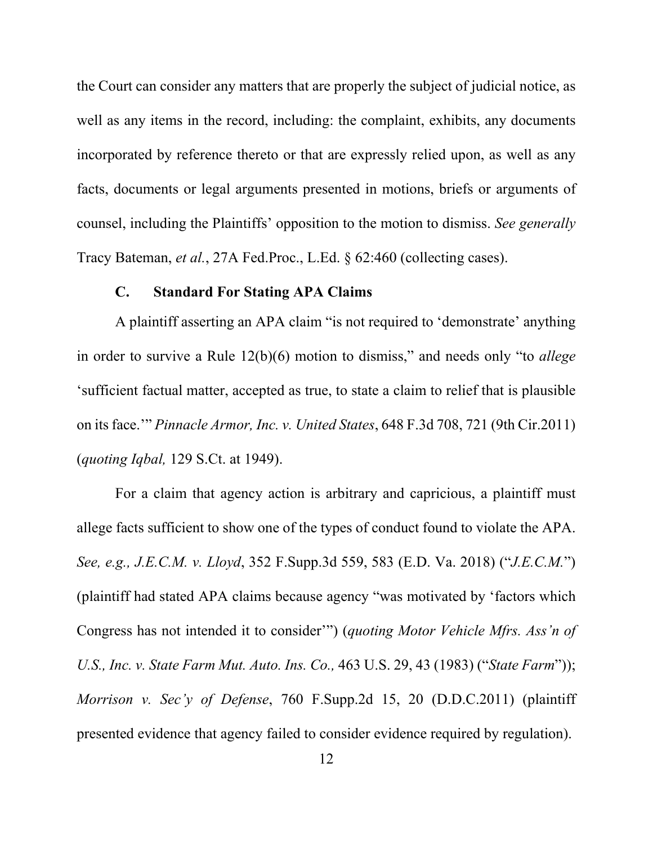the Court can consider any matters that are properly the subject of judicial notice, as well as any items in the record, including: the complaint, exhibits, any documents incorporated by reference thereto or that are expressly relied upon, as well as any facts, documents or legal arguments presented in motions, briefs or arguments of counsel, including the Plaintiffs' opposition to the motion to dismiss. *See generally*  Tracy Bateman, *et al.*, 27A Fed.Proc., L.Ed. § 62:460 (collecting cases).

#### **C. Standard For Stating APA Claims**

<span id="page-19-0"></span>A plaintiff asserting an APA claim "is not required to 'demonstrate' anything in order to survive a Rule 12(b)(6) motion to dismiss," and needs only "to *allege* 'sufficient factual matter, accepted as true, to state a claim to relief that is plausible on its face.'" *Pinnacle Armor, Inc. v. United States*, 648 F.3d 708, 721 (9th Cir.2011) (*quoting Iqbal,* 129 S.Ct. at 1949).

For a claim that agency action is arbitrary and capricious, a plaintiff must allege facts sufficient to show one of the types of conduct found to violate the APA. *See, e.g., J.E.C.M. v. Lloyd*, 352 F.Supp.3d 559, 583 (E.D. Va. 2018) ("*J.E.C.M.*") (plaintiff had stated APA claims because agency "was motivated by 'factors which Congress has not intended it to consider'") (*quoting Motor Vehicle Mfrs. Ass'n of U.S., Inc. v. State Farm Mut. Auto. Ins. Co.,* 463 U.S. 29, 43 (1983) ("*State Farm*")); *Morrison v. Sec'y of Defense*, 760 F.Supp.2d 15, 20 (D.D.C.2011) (plaintiff presented evidence that agency failed to consider evidence required by regulation).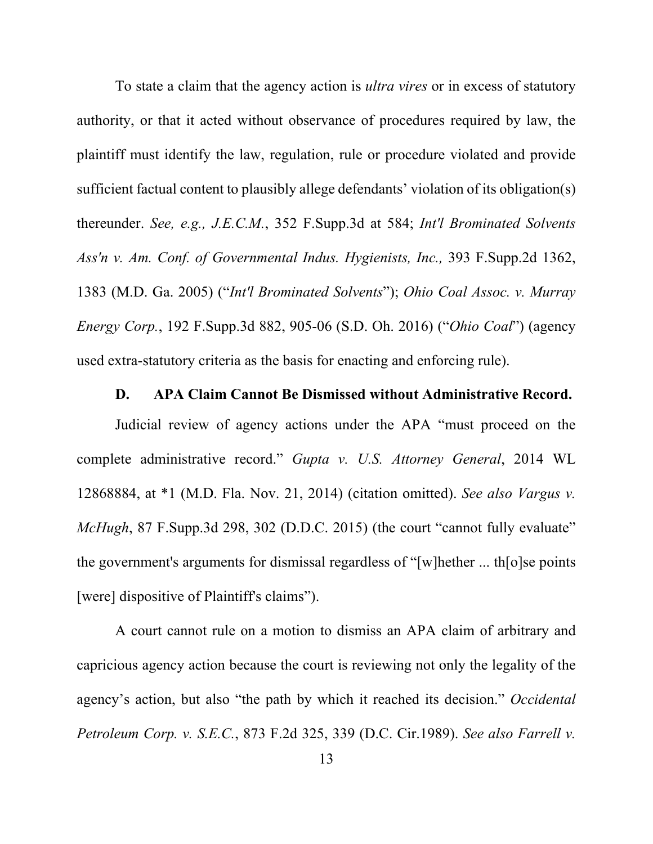To state a claim that the agency action is *ultra vires* or in excess of statutory authority, or that it acted without observance of procedures required by law, the plaintiff must identify the law, regulation, rule or procedure violated and provide sufficient factual content to plausibly allege defendants' violation of its obligation(s) thereunder. *See, e.g., J.E.C.M.*, 352 F.Supp.3d at 584; *Int'l Brominated Solvents Ass'n v. Am. Conf. of Governmental Indus. Hygienists, Inc.,* 393 F.Supp.2d 1362, 1383 (M.D. Ga. 2005) ("*Int'l Brominated Solvents*"); *Ohio Coal Assoc. v. Murray Energy Corp.*, 192 F.Supp.3d 882, 905-06 (S.D. Oh. 2016) ("*Ohio Coal*") (agency used extra-statutory criteria as the basis for enacting and enforcing rule).

#### **D. APA Claim Cannot Be Dismissed without Administrative Record.**

Judicial review of agency actions under the APA "must proceed on the complete administrative record." *Gupta v. U.S. Attorney General*, 2014 WL 12868884, at \*1 (M.D. Fla. Nov. 21, 2014) (citation omitted). *See also Vargus v. McHugh*, 87 F.Supp.3d 298, 302 (D.D.C. 2015) (the court "cannot fully evaluate" the government's arguments for dismissal regardless of "[w]hether ... th[o]se points [were] dispositive of Plaintiff's claims").

A court cannot rule on a motion to dismiss an APA claim of arbitrary and capricious agency action because the court is reviewing not only the legality of the agency's action, but also "the path by which it reached its decision." *Occidental Petroleum Corp. v. S.E.C.*, 873 F.2d 325, 339 (D.C. Cir.1989). *See also Farrell v.*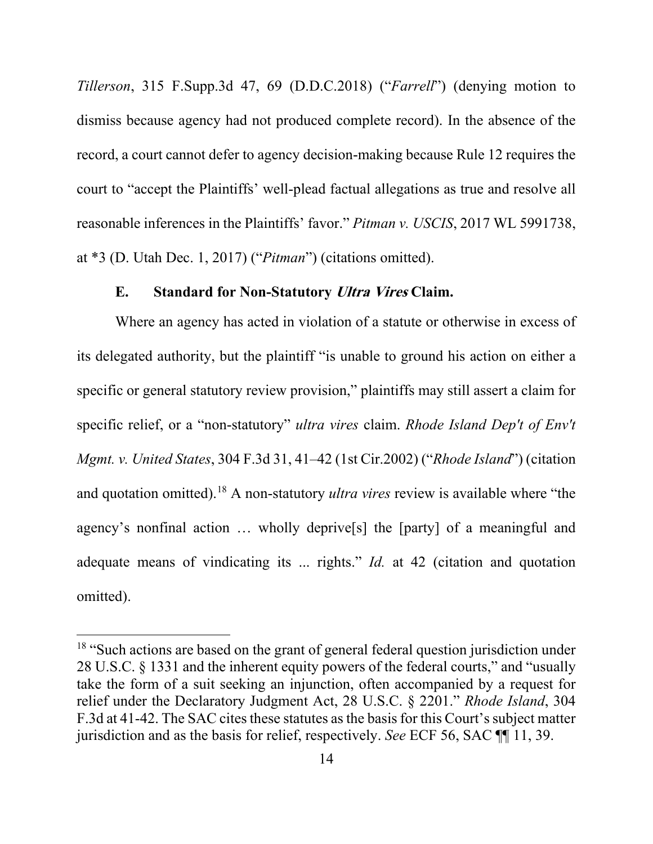*Tillerson*, 315 F.Supp.3d 47, 69 (D.D.C.2018) ("*Farrell*") (denying motion to dismiss because agency had not produced complete record). In the absence of the record, a court cannot defer to agency decision-making because Rule 12 requires the court to "accept the Plaintiffs' well-plead factual allegations as true and resolve all reasonable inferences in the Plaintiffs' favor." *Pitman v. USCIS*, 2017 WL 5991738, at \*3 (D. Utah Dec. 1, 2017) ("*Pitman*") (citations omitted).

## **E. Standard for Non-Statutory Ultra Vires Claim.**

Where an agency has acted in violation of a statute or otherwise in excess of its delegated authority, but the plaintiff "is unable to ground his action on either a specific or general statutory review provision," plaintiffs may still assert a claim for specific relief, or a "non-statutory" *ultra vires* claim. *Rhode Island Dep't of Env't Mgmt. v. United States*, 304 F.3d 31, 41–42 (1st Cir.2002) ("*Rhode Island*") (citation and quotation omitted).[18](#page-21-0) A non-statutory *ultra vires* review is available where "the agency's nonfinal action … wholly deprive[s] the [party] of a meaningful and adequate means of vindicating its ... rights." *Id.* at 42 (citation and quotation omitted).

<span id="page-21-0"></span><sup>&</sup>lt;sup>18</sup> "Such actions are based on the grant of general federal question jurisdiction under 28 U.S.C. § 1331 and the inherent equity powers of the federal courts," and "usually take the form of a suit seeking an injunction, often accompanied by a request for relief under the Declaratory Judgment Act, 28 U.S.C. § 2201." *Rhode Island*, 304 F.3d at 41-42. The SAC cites these statutes as the basis for this Court's subject matter jurisdiction and as the basis for relief, respectively. *See* ECF 56, SAC ¶¶ 11, 39.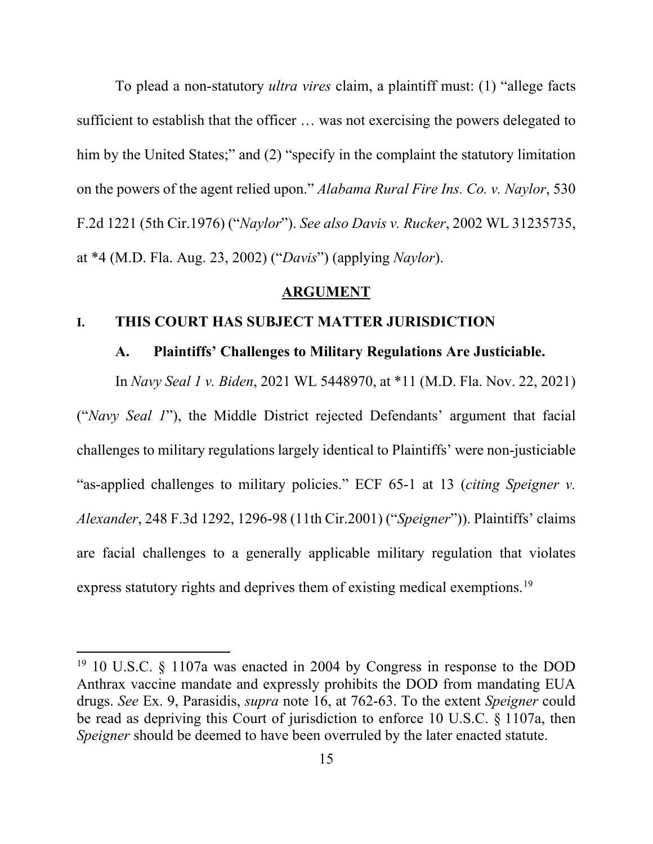To plead a non-statutory *ultra vires* claim, a plaintiff must: (1) "allege facts sufficient to establish that the officer … was not exercising the powers delegated to him by the United States;" and (2) "specify in the complaint the statutory limitation on the powers of the agent relied upon." *Alabama Rural Fire Ins. Co. v. Naylor*, 530 F.2d 1221 (5th Cir.1976) ("*Naylor*"). *See also Davis v. Rucker*, 2002 WL 31235735, at \*4 (M.D. Fla. Aug. 23, 2002) ("*Davis*") (applying *Naylor*).

#### **ARGUMENT**

#### <span id="page-22-0"></span>**I. THIS COURT HAS SUBJECT MATTER JURISDICTION**

## **A. Plaintiffs' Challenges to Military Regulations Are Justiciable.**

In *Navy Seal 1 v. Biden*, 2021 WL 5448970, at \*11 (M.D. Fla. Nov. 22, 2021) ("*Navy Seal 1*"), the Middle District rejected Defendants' argument that facial challenges to military regulations largely identical to Plaintiffs' were non-justiciable "as-applied challenges to military policies." ECF 65-1 at 13 (*citing Speigner v. Alexander*, 248 F.3d 1292, 1296-98 (11th Cir.2001) ("*Speigner*")). Plaintiffs' claims are facial challenges to a generally applicable military regulation that violates express statutory rights and deprives them of existing medical exemptions.<sup>[19](#page-22-1)</sup>

<span id="page-22-1"></span><sup>19</sup> 10 U.S.C. § 1107a was enacted in 2004 by Congress in response to the DOD Anthrax vaccine mandate and expressly prohibits the DOD from mandating EUA drugs. *See* Ex. 9, Parasidis, *supra* note [16,](#page-15-0) at 762-63. To the extent *Speigner* could be read as depriving this Court of jurisdiction to enforce 10 U.S.C. § 1107a, then *Speigner* should be deemed to have been overruled by the later enacted statute.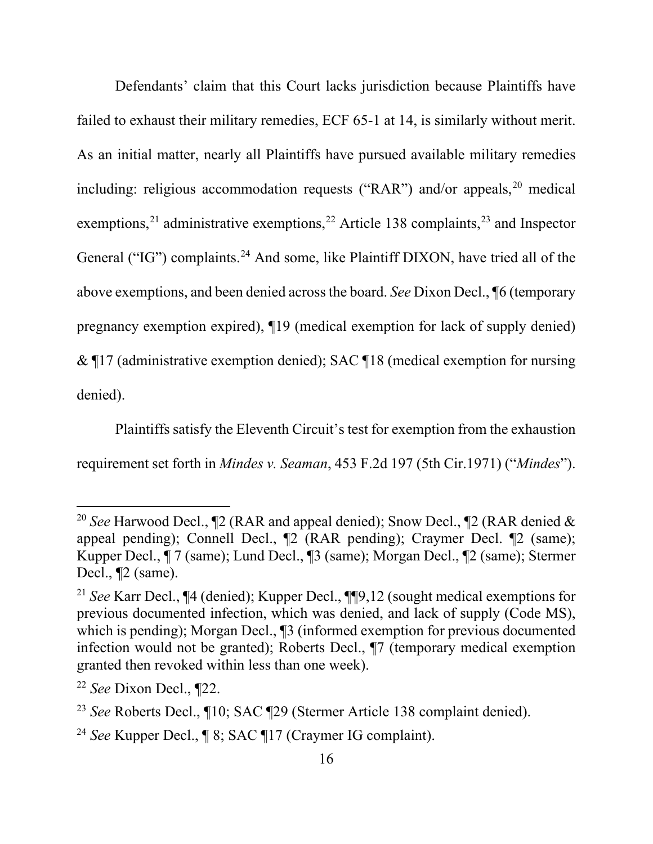<span id="page-23-5"></span>Defendants' claim that this Court lacks jurisdiction because Plaintiffs have failed to exhaust their military remedies, ECF 65-1 at 14, is similarly without merit. As an initial matter, nearly all Plaintiffs have pursued available military remedies including: religious accommodation requests ("RAR") and/or appeals,  $20$  medical exemptions,<sup>[21](#page-23-1)</sup> administrative exemptions,<sup>[22](#page-23-2)</sup> Article 138 complaints,<sup>[23](#page-23-3)</sup> and Inspector General ("IG") complaints.<sup>[24](#page-23-4)</sup> And some, like Plaintiff DIXON, have tried all of the above exemptions, and been denied across the board. *See* Dixon Decl., ¶6 (temporary pregnancy exemption expired), ¶19 (medical exemption for lack of supply denied) & ¶17 (administrative exemption denied); SAC ¶18 (medical exemption for nursing denied).

Plaintiffs satisfy the Eleventh Circuit's test for exemption from the exhaustion requirement set forth in *Mindes v. Seaman*, 453 F.2d 197 (5th Cir.1971) ("*Mindes*").

<span id="page-23-0"></span><sup>&</sup>lt;sup>20</sup> *See* Harwood Decl., ¶2 (RAR and appeal denied); Snow Decl., ¶2 (RAR denied & appeal pending); Connell Decl., ¶2 (RAR pending); Craymer Decl. ¶2 (same); Kupper Decl., ¶ 7 (same); Lund Decl., ¶3 (same); Morgan Decl., ¶2 (same); Stermer Decl., ¶2 (same).

<span id="page-23-1"></span><sup>21</sup> *See* Karr Decl., ¶4 (denied); Kupper Decl., ¶¶9,12 (sought medical exemptions for previous documented infection, which was denied, and lack of supply (Code MS), which is pending); Morgan Decl., [3] (informed exemption for previous documented infection would not be granted); Roberts Decl., ¶7 (temporary medical exemption granted then revoked within less than one week).

<span id="page-23-2"></span><sup>22</sup> *See* Dixon Decl., ¶22.

<span id="page-23-3"></span><sup>23</sup> *See* Roberts Decl., ¶10; SAC ¶29 (Stermer Article 138 complaint denied).

<span id="page-23-4"></span><sup>24</sup> *See* Kupper Decl., ¶ 8; SAC ¶17 (Craymer IG complaint).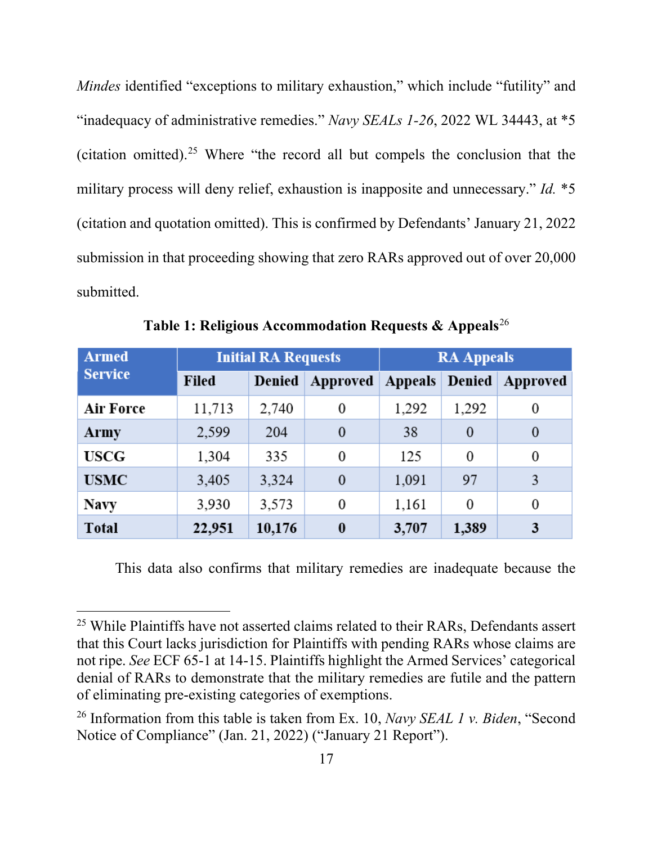*Mindes* identified "exceptions to military exhaustion," which include "futility" and "inadequacy of administrative remedies." *Navy SEALs 1-26*, 2022 WL 34443, at \*5 (citation omitted). [25](#page-24-0) Where "the record all but compels the conclusion that the military process will deny relief, exhaustion is inapposite and unnecessary." *Id.* \*5 (citation and quotation omitted). This is confirmed by Defendants' January 21, 2022 submission in that proceeding showing that zero RARs approved out of over 20,000 submitted.

| <b>Armed</b>   | <b>Initial RA Requests</b> |        |          | <b>RA Appeals</b> |                  |          |
|----------------|----------------------------|--------|----------|-------------------|------------------|----------|
| <b>Service</b> | Filed                      | Denied | Approved | Appeals Denied    |                  | Approved |
| Air Force      | 11,713                     | 2,740  | 0        | 1,292             | 1,292            | 0        |
| Army           | 2,599                      | 204    | $\bf{0}$ | 38                | $\overline{0}$   | $\theta$ |
| <b>USCG</b>    | 1,304                      | 335    | 0        | 125               | $\boldsymbol{0}$ | 0        |
| <b>USMC</b>    | 3,405                      | 3,324  | $\theta$ | 1,091             | 97               |          |
| <b>Navy</b>    | 3,930                      | 3,573  | 0        | 1,161             | $\boldsymbol{0}$ | 0        |
| <b>Total</b>   | 22,951                     | 10,176 | $\bf{0}$ | 3,707             | 1,389            | 3        |

**Table 1: Religious Accommodation Requests & Appeals**[26](#page-24-1)

This data also confirms that military remedies are inadequate because the

<span id="page-24-0"></span><sup>&</sup>lt;sup>25</sup> While Plaintiffs have not asserted claims related to their RARs, Defendants assert that this Court lacks jurisdiction for Plaintiffs with pending RARs whose claims are not ripe. *See* ECF 65-1 at 14-15. Plaintiffs highlight the Armed Services' categorical denial of RARs to demonstrate that the military remedies are futile and the pattern of eliminating pre-existing categories of exemptions.

<span id="page-24-1"></span><sup>26</sup> Information from this table is taken from Ex. 10, *Navy SEAL 1 v. Biden*, "Second Notice of Compliance" (Jan. 21, 2022) ("January 21 Report").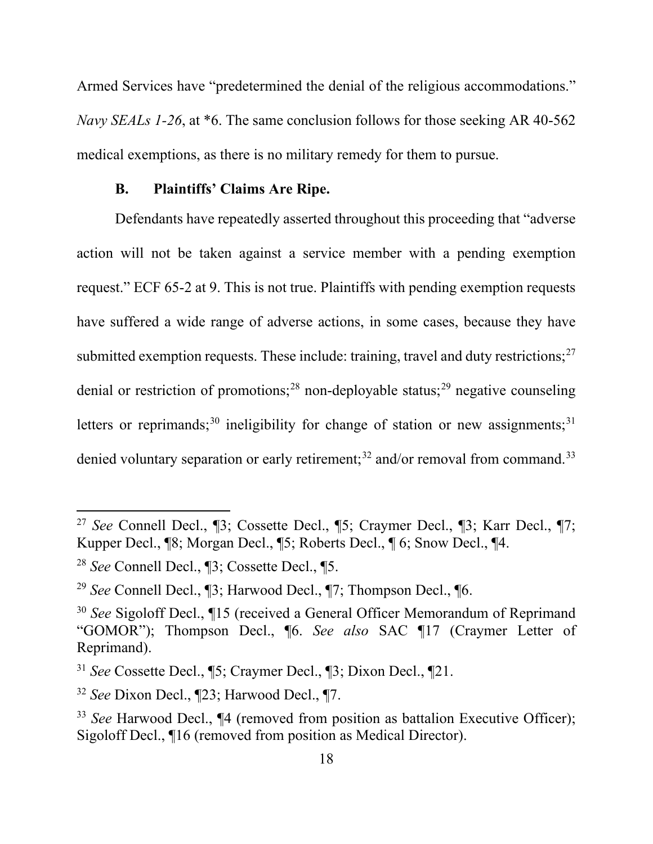Armed Services have "predetermined the denial of the religious accommodations." *Navy SEALs 1-26*, at \*6. The same conclusion follows for those seeking AR 40-562 medical exemptions, as there is no military remedy for them to pursue.

#### **B. Plaintiffs' Claims Are Ripe.**

Defendants have repeatedly asserted throughout this proceeding that "adverse action will not be taken against a service member with a pending exemption request." ECF 65-2 at 9. This is not true. Plaintiffs with pending exemption requests have suffered a wide range of adverse actions, in some cases, because they have submitted exemption requests. These include: training, travel and duty restrictions; $27$ denial or restriction of promotions;<sup>[28](#page-25-1)</sup> non-deployable status;<sup>[29](#page-25-2)</sup> negative counseling letters or reprimands;<sup>[30](#page-25-3)</sup> ineligibility for change of station or new assignments;<sup>[31](#page-25-4)</sup> denied voluntary separation or early retirement;<sup>[32](#page-25-5)</sup> and/or removal from command.<sup>[33](#page-25-6)</sup>

<span id="page-25-0"></span><sup>27</sup> *See* Connell Decl., ¶3; Cossette Decl., ¶5; Craymer Decl., ¶3; Karr Decl., ¶7; Kupper Decl., ¶8; Morgan Decl., ¶5; Roberts Decl., ¶ 6; Snow Decl., ¶4.

<span id="page-25-1"></span><sup>28</sup> *See* Connell Decl., ¶3; Cossette Decl., ¶5.

<span id="page-25-2"></span><sup>29</sup> *See* Connell Decl., ¶3; Harwood Decl., ¶7; Thompson Decl., ¶6.

<span id="page-25-3"></span><sup>30</sup> *See* Sigoloff Decl., ¶15 (received a General Officer Memorandum of Reprimand "GOMOR"); Thompson Decl., ¶6. *See also* SAC ¶17 (Craymer Letter of Reprimand).

<span id="page-25-4"></span><sup>31</sup> *See* Cossette Decl., ¶5; Craymer Decl., ¶3; Dixon Decl., ¶21.

<span id="page-25-5"></span><sup>32</sup> *See* Dixon Decl., ¶23; Harwood Decl., ¶7.

<span id="page-25-6"></span><sup>33</sup> *See* Harwood Decl., ¶4 (removed from position as battalion Executive Officer); Sigoloff Decl., ¶16 (removed from position as Medical Director).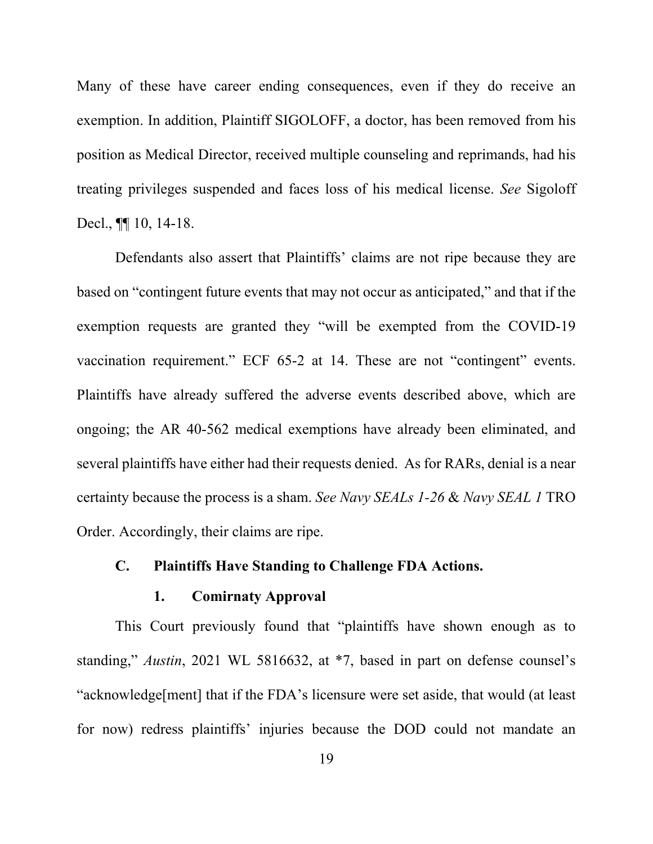Many of these have career ending consequences, even if they do receive an exemption. In addition, Plaintiff SIGOLOFF, a doctor, has been removed from his position as Medical Director, received multiple counseling and reprimands, had his treating privileges suspended and faces loss of his medical license. *See* Sigoloff Decl.,  $\P$ [10, 14-18.

Defendants also assert that Plaintiffs' claims are not ripe because they are based on "contingent future events that may not occur as anticipated," and that if the exemption requests are granted they "will be exempted from the COVID-19 vaccination requirement." ECF 65-2 at 14. These are not "contingent" events. Plaintiffs have already suffered the adverse events described above, which are ongoing; the AR 40-562 medical exemptions have already been eliminated, and several plaintiffs have either had their requests denied. As for RARs, denial is a near certainty because the process is a sham. *See Navy SEALs 1-26* & *Navy SEAL 1* TRO Order. Accordingly, their claims are ripe.

## **C. Plaintiffs Have Standing to Challenge FDA Actions.**

#### **1. Comirnaty Approval**

This Court previously found that "plaintiffs have shown enough as to standing," *Austin*, 2021 WL 5816632, at \*7, based in part on defense counsel's "acknowledge[ment] that if the FDA's licensure were set aside, that would (at least for now) redress plaintiffs' injuries because the DOD could not mandate an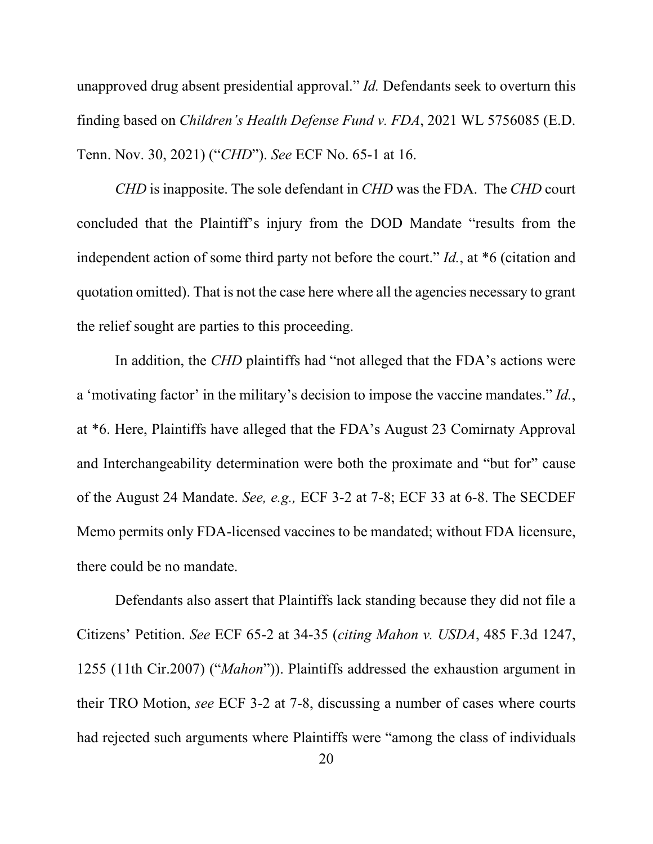unapproved drug absent presidential approval." *Id.* Defendants seek to overturn this finding based on *Children's Health Defense Fund v. FDA*, 2021 WL 5756085 (E.D. Tenn. Nov. 30, 2021) ("*CHD*"). *See* ECF No. 65-1 at 16.

*CHD* is inapposite. The sole defendant in *CHD* was the FDA. The *CHD* court concluded that the Plaintiff's injury from the DOD Mandate "results from the independent action of some third party not before the court." *Id.*, at \*6 (citation and quotation omitted). That is not the case here where all the agencies necessary to grant the relief sought are parties to this proceeding.

In addition, the *CHD* plaintiffs had "not alleged that the FDA's actions were a 'motivating factor' in the military's decision to impose the vaccine mandates." *Id.*, at \*6. Here, Plaintiffs have alleged that the FDA's August 23 Comirnaty Approval and Interchangeability determination were both the proximate and "but for" cause of the August 24 Mandate. *See, e.g.,* ECF 3-2 at 7-8; ECF 33 at 6-8. The SECDEF Memo permits only FDA-licensed vaccines to be mandated; without FDA licensure, there could be no mandate.

Defendants also assert that Plaintiffs lack standing because they did not file a Citizens' Petition. *See* ECF 65-2 at 34-35 (*citing Mahon v. USDA*, 485 F.3d 1247, 1255 (11th Cir.2007) ("*Mahon*")). Plaintiffs addressed the exhaustion argument in their TRO Motion, *see* ECF 3-2 at 7-8, discussing a number of cases where courts had rejected such arguments where Plaintiffs were "among the class of individuals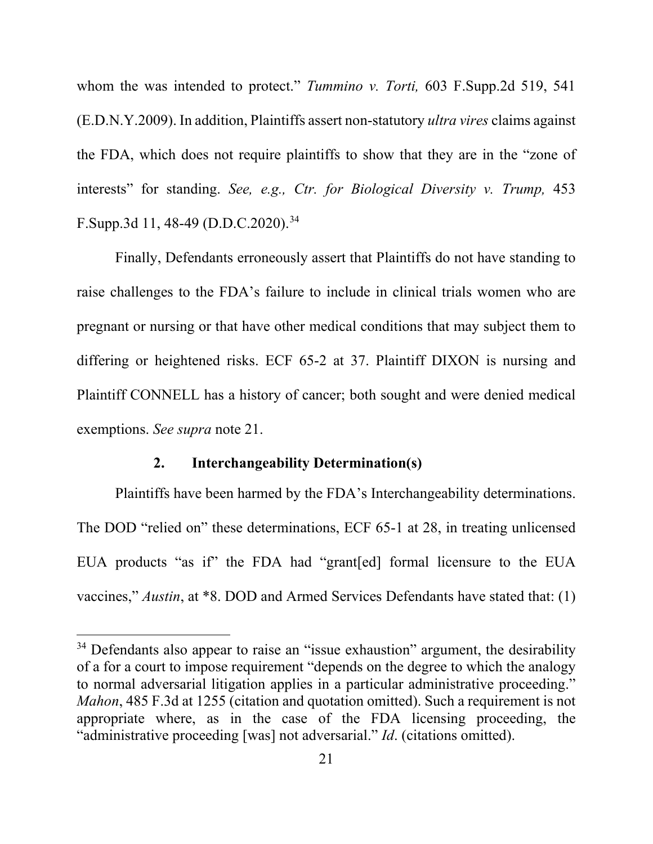whom the was intended to protect." *Tummino v. Torti,* 603 F.Supp.2d 519, 541 (E.D.N.Y.2009). In addition, Plaintiffs assert non-statutory *ultra vires* claims against the FDA, which does not require plaintiffs to show that they are in the "zone of interests" for standing. *See, e.g., Ctr. for Biological Diversity v. Trump,* 453 F.Supp.3d 11, 48-49 (D.D.C.2020). [34](#page-28-0)

Finally, Defendants erroneously assert that Plaintiffs do not have standing to raise challenges to the FDA's failure to include in clinical trials women who are pregnant or nursing or that have other medical conditions that may subject them to differing or heightened risks. ECF 65-2 at 37. Plaintiff DIXON is nursing and Plaintiff CONNELL has a history of cancer; both sought and were denied medical exemptions. *See supra* note [21.](#page-23-5)

#### **2. Interchangeability Determination(s)**

Plaintiffs have been harmed by the FDA's Interchangeability determinations. The DOD "relied on" these determinations, ECF 65-1 at 28, in treating unlicensed EUA products "as if" the FDA had "grant[ed] formal licensure to the EUA vaccines," *Austin*, at \*8. DOD and Armed Services Defendants have stated that: (1)

<span id="page-28-0"></span><sup>&</sup>lt;sup>34</sup> Defendants also appear to raise an "issue exhaustion" argument, the desirability of a for a court to impose requirement "depends on the degree to which the analogy to normal adversarial litigation applies in a particular administrative proceeding." *Mahon*, 485 F.3d at 1255 (citation and quotation omitted). Such a requirement is not appropriate where, as in the case of the FDA licensing proceeding, the "administrative proceeding [was] not adversarial." *Id*. (citations omitted).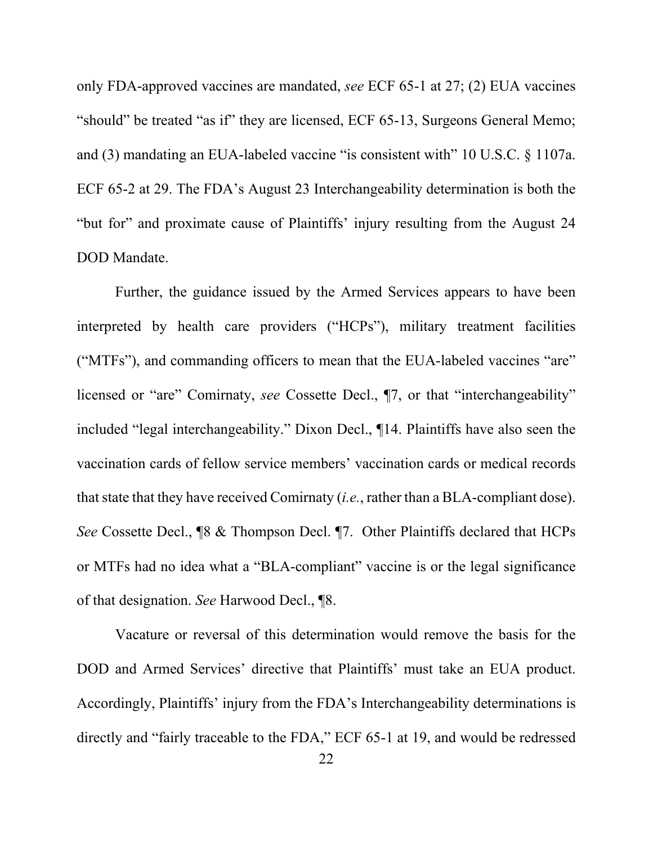only FDA-approved vaccines are mandated, *see* ECF 65-1 at 27; (2) EUA vaccines "should" be treated "as if" they are licensed, ECF 65-13, Surgeons General Memo; and (3) mandating an EUA-labeled vaccine "is consistent with" 10 U.S.C. § 1107a. ECF 65-2 at 29. The FDA's August 23 Interchangeability determination is both the "but for" and proximate cause of Plaintiffs' injury resulting from the August 24 DOD Mandate.

Further, the guidance issued by the Armed Services appears to have been interpreted by health care providers ("HCPs"), military treatment facilities ("MTFs"), and commanding officers to mean that the EUA-labeled vaccines "are" licensed or "are" Comirnaty, *see* Cossette Decl., ¶7, or that "interchangeability" included "legal interchangeability." Dixon Decl., ¶14. Plaintiffs have also seen the vaccination cards of fellow service members' vaccination cards or medical records that state that they have received Comirnaty (*i.e.*, rather than a BLA-compliant dose). *See* Cossette Decl., ¶8 & Thompson Decl. ¶7. Other Plaintiffs declared that HCPs or MTFs had no idea what a "BLA-compliant" vaccine is or the legal significance of that designation. *See* Harwood Decl., ¶8.

Vacature or reversal of this determination would remove the basis for the DOD and Armed Services' directive that Plaintiffs' must take an EUA product. Accordingly, Plaintiffs' injury from the FDA's Interchangeability determinations is directly and "fairly traceable to the FDA," ECF 65-1 at 19, and would be redressed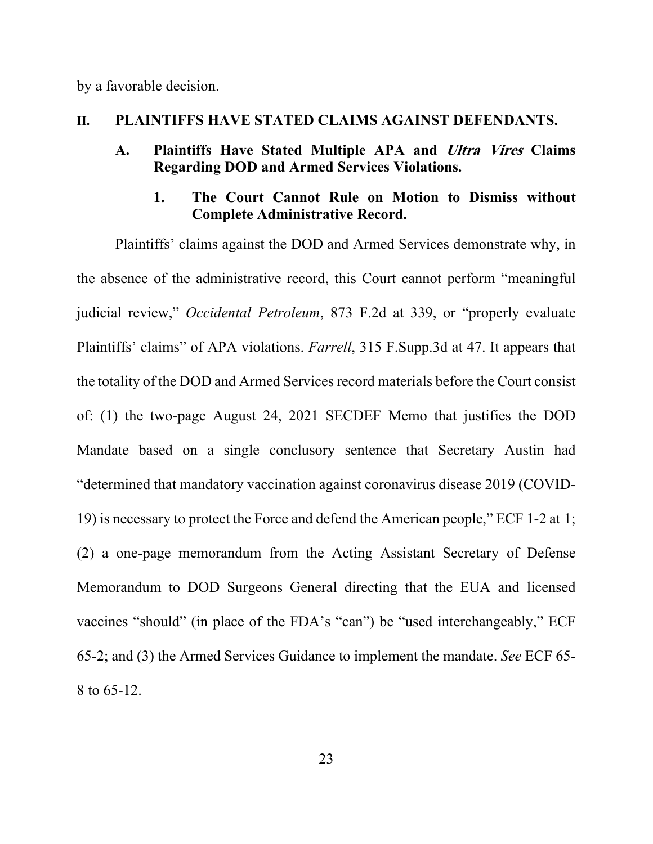by a favorable decision.

#### **II. PLAINTIFFS HAVE STATED CLAIMS AGAINST DEFENDANTS.**

#### **A. Plaintiffs Have Stated Multiple APA and Ultra Vires Claims Regarding DOD and Armed Services Violations.**

## **1. The Court Cannot Rule on Motion to Dismiss without Complete Administrative Record.**

Plaintiffs' claims against the DOD and Armed Services demonstrate why, in the absence of the administrative record, this Court cannot perform "meaningful judicial review," *Occidental Petroleum*, 873 F.2d at 339, or "properly evaluate Plaintiffs' claims" of APA violations. *Farrell*, 315 F.Supp.3d at 47. It appears that the totality of the DOD and Armed Services record materials before the Court consist of: (1) the two-page August 24, 2021 SECDEF Memo that justifies the DOD Mandate based on a single conclusory sentence that Secretary Austin had "determined that mandatory vaccination against coronavirus disease 2019 (COVID-19) is necessary to protect the Force and defend the American people," ECF 1-2 at 1; (2) a one-page memorandum from the Acting Assistant Secretary of Defense Memorandum to DOD Surgeons General directing that the EUA and licensed vaccines "should" (in place of the FDA's "can") be "used interchangeably," ECF 65-2; and (3) the Armed Services Guidance to implement the mandate. *See* ECF 65- 8 to 65-12.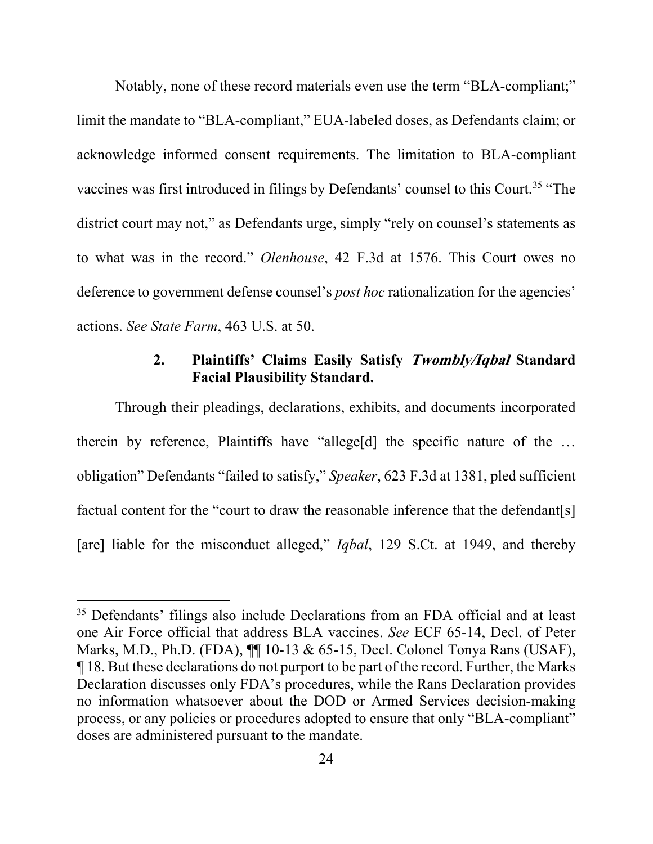Notably, none of these record materials even use the term "BLA-compliant;" limit the mandate to "BLA-compliant," EUA-labeled doses, as Defendants claim; or acknowledge informed consent requirements. The limitation to BLA-compliant vaccines was first introduced in filings by Defendants' counsel to this Court.<sup>[35](#page-31-0)</sup> "The district court may not," as Defendants urge, simply "rely on counsel's statements as to what was in the record." *Olenhouse*, 42 F.3d at 1576. This Court owes no deference to government defense counsel's *post hoc* rationalization for the agencies' actions. *See State Farm*, 463 U.S. at 50.

## **2. Plaintiffs' Claims Easily Satisfy Twombly/Iqbal Standard Facial Plausibility Standard.**

<span id="page-31-1"></span>Through their pleadings, declarations, exhibits, and documents incorporated therein by reference, Plaintiffs have "allege[d] the specific nature of the … obligation" Defendants "failed to satisfy," *Speaker*, 623 F.3d at 1381, pled sufficient factual content for the "court to draw the reasonable inference that the defendant[s] [are] liable for the misconduct alleged," *Iqbal*, 129 S.Ct. at 1949, and thereby

<span id="page-31-0"></span><sup>&</sup>lt;sup>35</sup> Defendants' filings also include Declarations from an FDA official and at least one Air Force official that address BLA vaccines. *See* ECF 65-14, Decl. of Peter Marks, M.D., Ph.D. (FDA), ¶¶ 10-13 & 65-15, Decl. Colonel Tonya Rans (USAF), ¶ 18. But these declarations do not purport to be part of the record. Further, the Marks Declaration discusses only FDA's procedures, while the Rans Declaration provides no information whatsoever about the DOD or Armed Services decision-making process, or any policies or procedures adopted to ensure that only "BLA-compliant" doses are administered pursuant to the mandate.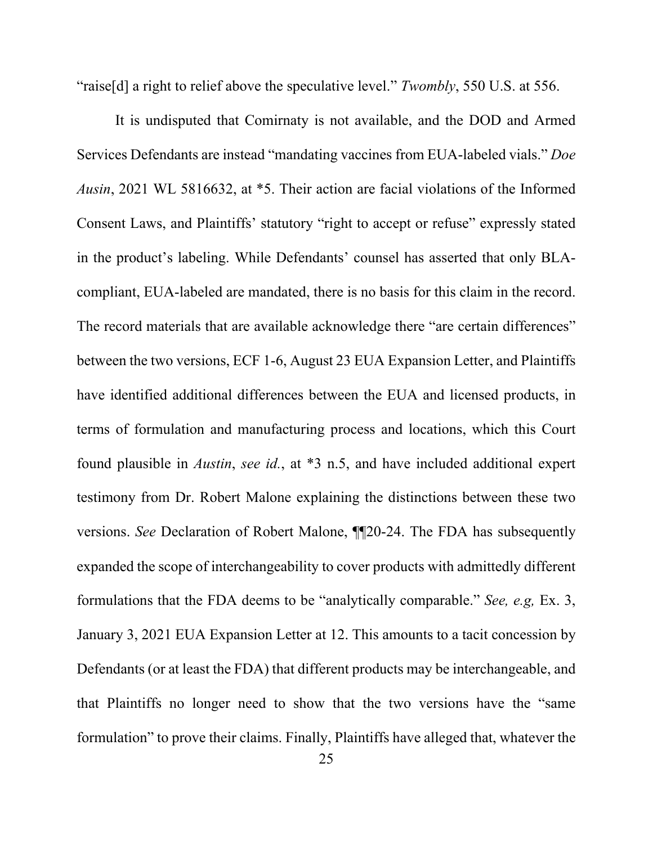"raise[d] a right to relief above the speculative level." *Twombly*, 550 U.S. at 556.

It is undisputed that Comirnaty is not available, and the DOD and Armed Services Defendants are instead "mandating vaccines from EUA-labeled vials." *Doe Ausin*, 2021 WL 5816632, at \*5. Their action are facial violations of the Informed Consent Laws, and Plaintiffs' statutory "right to accept or refuse" expressly stated in the product's labeling. While Defendants' counsel has asserted that only BLAcompliant, EUA-labeled are mandated, there is no basis for this claim in the record. The record materials that are available acknowledge there "are certain differences" between the two versions, ECF 1-6, August 23 EUA Expansion Letter, and Plaintiffs have identified additional differences between the EUA and licensed products, in terms of formulation and manufacturing process and locations, which this Court found plausible in *Austin*, *see id.*, at \*3 n.5, and have included additional expert testimony from Dr. Robert Malone explaining the distinctions between these two versions. *See* Declaration of Robert Malone, ¶¶20-24. The FDA has subsequently expanded the scope of interchangeability to cover products with admittedly different formulations that the FDA deems to be "analytically comparable." *See, e.g,* Ex. 3, January 3, 2021 EUA Expansion Letter at 12. This amounts to a tacit concession by Defendants (or at least the FDA) that different products may be interchangeable, and that Plaintiffs no longer need to show that the two versions have the "same formulation" to prove their claims. Finally, Plaintiffs have alleged that, whatever the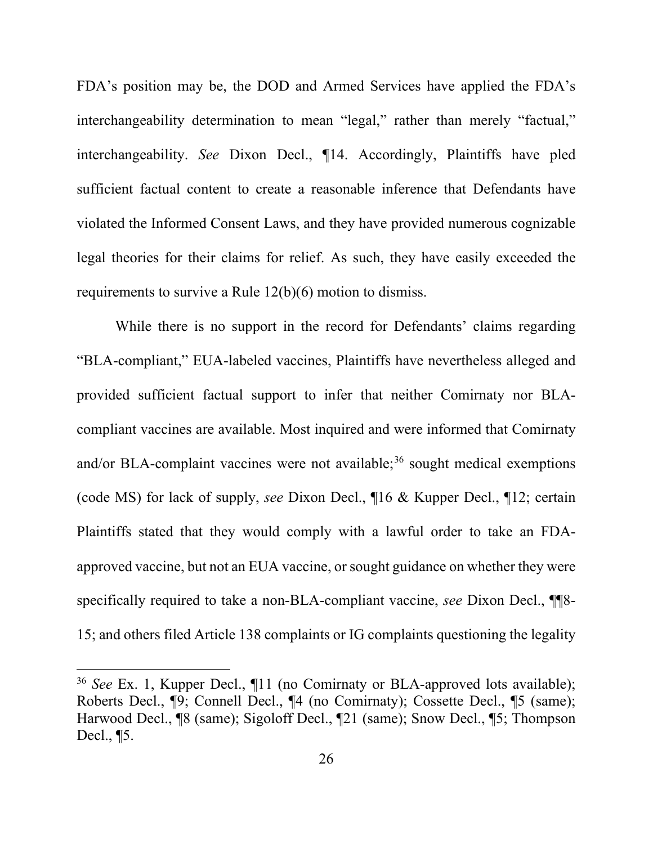FDA's position may be, the DOD and Armed Services have applied the FDA's interchangeability determination to mean "legal," rather than merely "factual," interchangeability. *See* Dixon Decl., ¶14. Accordingly, Plaintiffs have pled sufficient factual content to create a reasonable inference that Defendants have violated the Informed Consent Laws, and they have provided numerous cognizable legal theories for their claims for relief. As such, they have easily exceeded the requirements to survive a Rule 12(b)(6) motion to dismiss.

While there is no support in the record for Defendants' claims regarding "BLA-compliant," EUA-labeled vaccines, Plaintiffs have nevertheless alleged and provided sufficient factual support to infer that neither Comirnaty nor BLAcompliant vaccines are available. Most inquired and were informed that Comirnaty and/or BLA-complaint vaccines were not available;<sup>[36](#page-33-0)</sup> sought medical exemptions (code MS) for lack of supply, *see* Dixon Decl., ¶16 & Kupper Decl., ¶12; certain Plaintiffs stated that they would comply with a lawful order to take an FDAapproved vaccine, but not an EUA vaccine, or sought guidance on whether they were specifically required to take a non-BLA-compliant vaccine, *see* Dixon Decl., ¶¶8- 15; and others filed Article 138 complaints or IG complaints questioning the legality

<span id="page-33-0"></span><sup>36</sup> *See* Ex. 1, Kupper Decl., ¶11 (no Comirnaty or BLA-approved lots available); Roberts Decl., ¶9; Connell Decl., ¶4 (no Comirnaty); Cossette Decl., ¶5 (same); Harwood Decl., ¶8 (same); Sigoloff Decl., ¶21 (same); Snow Decl., ¶5; Thompson Decl., ¶5.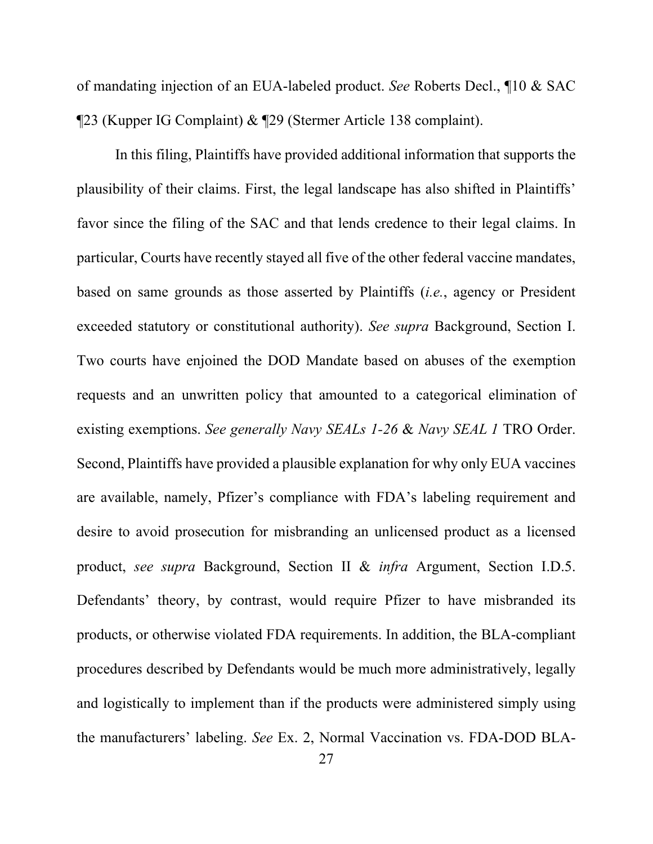of mandating injection of an EUA-labeled product. *See* Roberts Decl., ¶10 & SAC ¶23 (Kupper IG Complaint) & ¶29 (Stermer Article 138 complaint).

In this filing, Plaintiffs have provided additional information that supports the plausibility of their claims. First, the legal landscape has also shifted in Plaintiffs' favor since the filing of the SAC and that lends credence to their legal claims. In particular, Courts have recently stayed all five of the other federal vaccine mandates, based on same grounds as those asserted by Plaintiffs (*i.e.*, agency or President exceeded statutory or constitutional authority). *See supra* Background, Section [I.](#page-11-4) Two courts have enjoined the DOD Mandate based on abuses of the exemption requests and an unwritten policy that amounted to a categorical elimination of existing exemptions. *See generally Navy SEALs 1-26* & *Navy SEAL 1* TRO Order. Second, Plaintiffs have provided a plausible explanation for why only EUA vaccines are available, namely, Pfizer's compliance with FDA's labeling requirement and desire to avoid prosecution for misbranding an unlicensed product as a licensed product, *see supra* Background, Section [II](#page-13-3) & *infra* Argument, Section [I.D.5.](#page-51-0) Defendants' theory, by contrast, would require Pfizer to have misbranded its products, or otherwise violated FDA requirements. In addition, the BLA-compliant procedures described by Defendants would be much more administratively, legally and logistically to implement than if the products were administered simply using the manufacturers' labeling. *See* Ex. 2, Normal Vaccination vs. FDA-DOD BLA-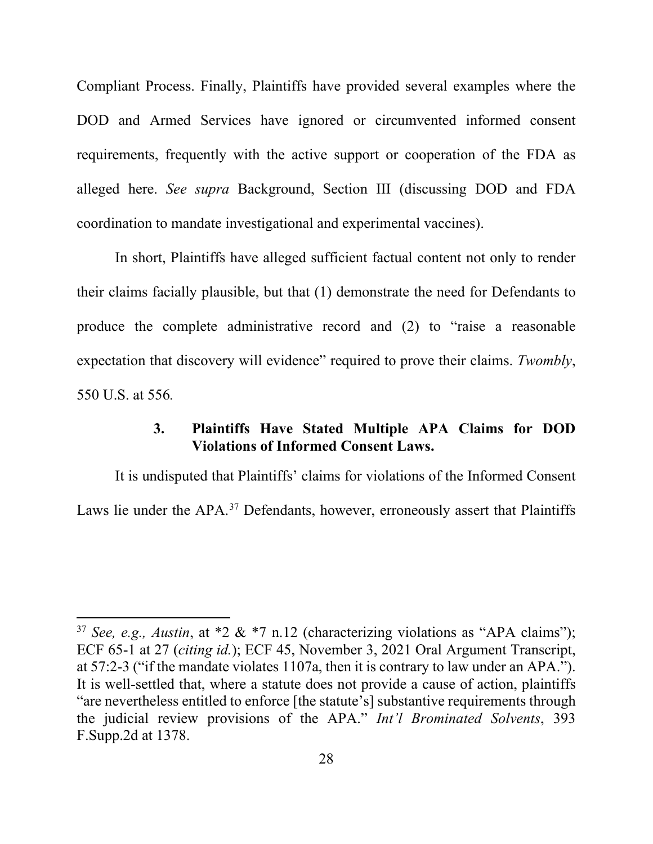Compliant Process. Finally, Plaintiffs have provided several examples where the DOD and Armed Services have ignored or circumvented informed consent requirements, frequently with the active support or cooperation of the FDA as alleged here. *See supra* Background, Section [III](#page-15-3) (discussing DOD and FDA coordination to mandate investigational and experimental vaccines).

In short, Plaintiffs have alleged sufficient factual content not only to render their claims facially plausible, but that (1) demonstrate the need for Defendants to produce the complete administrative record and (2) to "raise a reasonable expectation that discovery will evidence" required to prove their claims. *Twombly*, 550 U.S. at 556*.* 

#### **3. Plaintiffs Have Stated Multiple APA Claims for DOD Violations of Informed Consent Laws.**

It is undisputed that Plaintiffs' claims for violations of the Informed Consent Laws lie under the APA.<sup>[37](#page-35-0)</sup> Defendants, however, erroneously assert that Plaintiffs

<span id="page-35-0"></span><sup>&</sup>lt;sup>37</sup> *See, e.g., Austin, at*  $*2 \& 7 \text{ n.12}$  (characterizing violations as "APA claims"); ECF 65-1 at 27 (*citing id.*); ECF 45, November 3, 2021 Oral Argument Transcript, at 57:2-3 ("if the mandate violates 1107a, then it is contrary to law under an APA."). It is well-settled that, where a statute does not provide a cause of action, plaintiffs "are nevertheless entitled to enforce [the statute's] substantive requirements through the judicial review provisions of the APA." *Int'l Brominated Solvents*, 393 F.Supp.2d at 1378.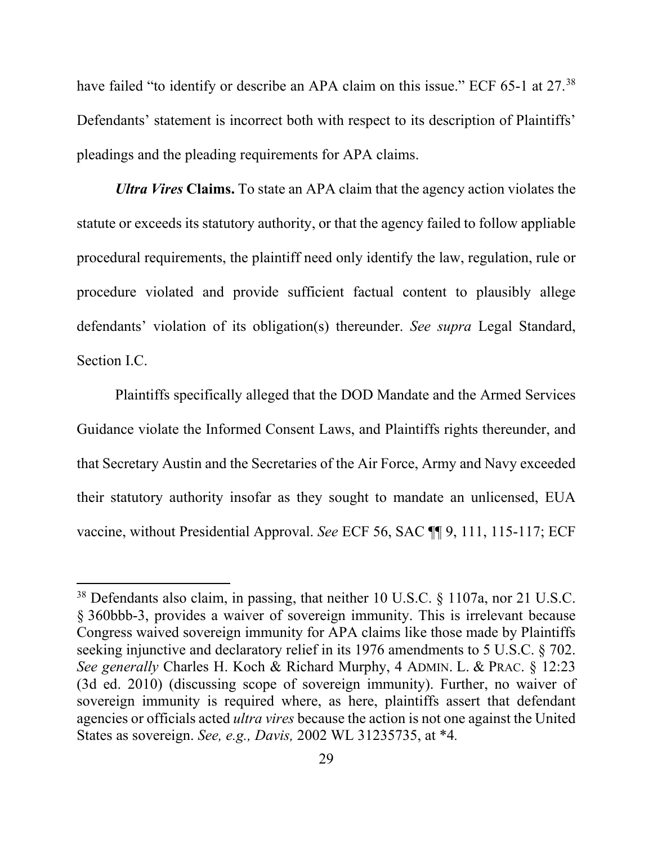have failed "to identify or describe an APA claim on this issue." ECF 65-1 at 27.<sup>[38](#page-36-0)</sup> Defendants' statement is incorrect both with respect to its description of Plaintiffs' pleadings and the pleading requirements for APA claims.

*Ultra Vires* **Claims.** To state an APA claim that the agency action violates the statute or exceeds its statutory authority, or that the agency failed to follow appliable procedural requirements, the plaintiff need only identify the law, regulation, rule or procedure violated and provide sufficient factual content to plausibly allege defendants' violation of its obligation(s) thereunder. *See supra* Legal Standard, Section [I.C.](#page-19-0)

Plaintiffs specifically alleged that the DOD Mandate and the Armed Services Guidance violate the Informed Consent Laws, and Plaintiffs rights thereunder, and that Secretary Austin and the Secretaries of the Air Force, Army and Navy exceeded their statutory authority insofar as they sought to mandate an unlicensed, EUA vaccine, without Presidential Approval. *See* ECF 56, SAC ¶¶ 9, 111, 115-117; ECF

<span id="page-36-0"></span><sup>38</sup> Defendants also claim, in passing, that neither 10 U.S.C. § 1107a, nor 21 U.S.C. § 360bbb-3, provides a waiver of sovereign immunity. This is irrelevant because Congress waived sovereign immunity for APA claims like those made by Plaintiffs seeking injunctive and declaratory relief in its 1976 amendments to 5 U.S.C. § 702. *See generally* Charles H. Koch & Richard Murphy, 4 ADMIN. L. & PRAC. § 12:23 (3d ed. 2010) (discussing scope of sovereign immunity). Further, no waiver of sovereign immunity is required where, as here, plaintiffs assert that defendant agencies or officials acted *ultra vires* because the action is not one against the United States as sovereign. *See, e.g., Davis,* 2002 WL 31235735, at \*4*.*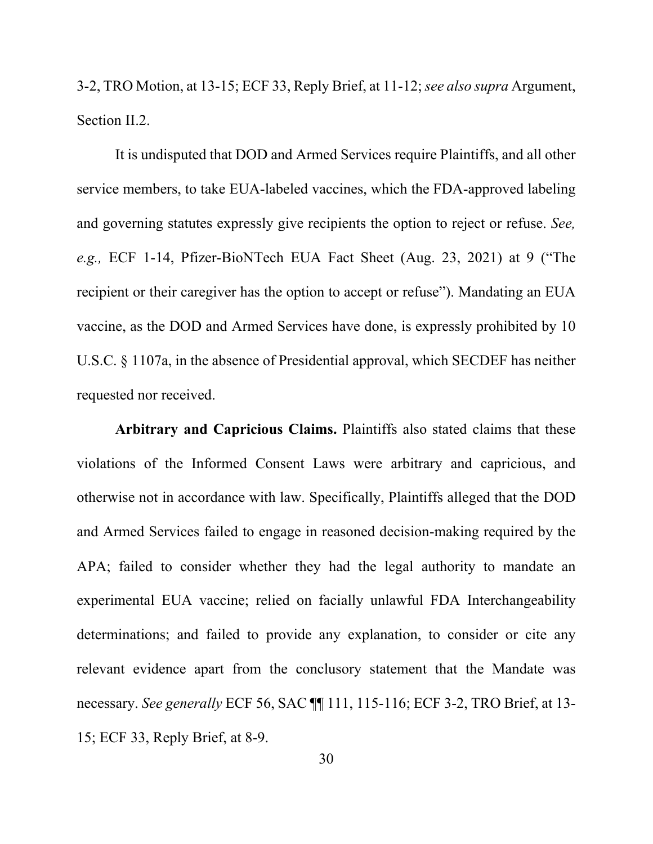3-2, TRO Motion, at 13-15; ECF 33, Reply Brief, at 11-12;*see also supra* Argument, Section [II.2.](#page-31-1)

It is undisputed that DOD and Armed Services require Plaintiffs, and all other service members, to take EUA-labeled vaccines, which the FDA-approved labeling and governing statutes expressly give recipients the option to reject or refuse. *See, e.g.,* ECF 1-14, Pfizer-BioNTech EUA Fact Sheet (Aug. 23, 2021) at 9 ("The recipient or their caregiver has the option to accept or refuse"). Mandating an EUA vaccine, as the DOD and Armed Services have done, is expressly prohibited by 10 U.S.C. § 1107a, in the absence of Presidential approval, which SECDEF has neither requested nor received.

**Arbitrary and Capricious Claims.** Plaintiffs also stated claims that these violations of the Informed Consent Laws were arbitrary and capricious, and otherwise not in accordance with law. Specifically, Plaintiffs alleged that the DOD and Armed Services failed to engage in reasoned decision-making required by the APA; failed to consider whether they had the legal authority to mandate an experimental EUA vaccine; relied on facially unlawful FDA Interchangeability determinations; and failed to provide any explanation, to consider or cite any relevant evidence apart from the conclusory statement that the Mandate was necessary. *See generally* ECF 56, SAC ¶¶ 111, 115-116; ECF 3-2, TRO Brief, at 13- 15; ECF 33, Reply Brief, at 8-9.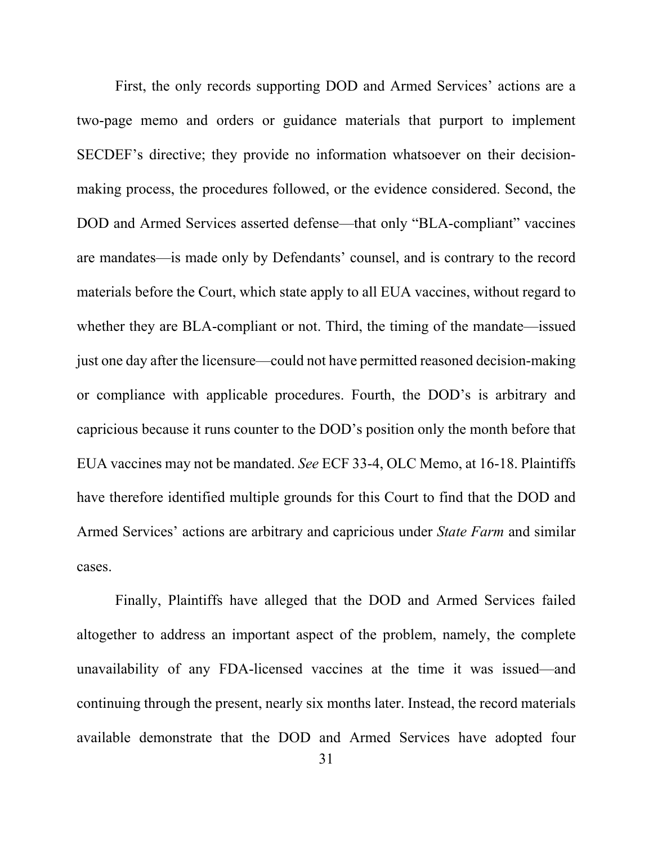First, the only records supporting DOD and Armed Services' actions are a two-page memo and orders or guidance materials that purport to implement SECDEF's directive; they provide no information whatsoever on their decisionmaking process, the procedures followed, or the evidence considered. Second, the DOD and Armed Services asserted defense—that only "BLA-compliant" vaccines are mandates—is made only by Defendants' counsel, and is contrary to the record materials before the Court, which state apply to all EUA vaccines, without regard to whether they are BLA-compliant or not. Third, the timing of the mandate—issued just one day after the licensure—could not have permitted reasoned decision-making or compliance with applicable procedures. Fourth, the DOD's is arbitrary and capricious because it runs counter to the DOD's position only the month before that EUA vaccines may not be mandated. *See* ECF 33-4, OLC Memo, at 16-18. Plaintiffs have therefore identified multiple grounds for this Court to find that the DOD and Armed Services' actions are arbitrary and capricious under *State Farm* and similar cases.

Finally, Plaintiffs have alleged that the DOD and Armed Services failed altogether to address an important aspect of the problem, namely, the complete unavailability of any FDA-licensed vaccines at the time it was issued—and continuing through the present, nearly six months later. Instead, the record materials available demonstrate that the DOD and Armed Services have adopted four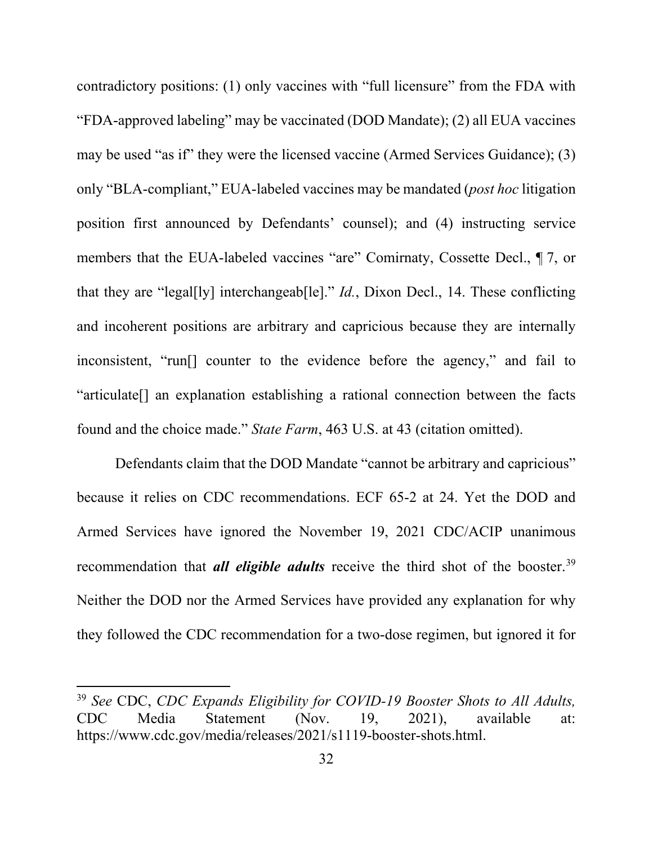contradictory positions: (1) only vaccines with "full licensure" from the FDA with "FDA-approved labeling" may be vaccinated (DOD Mandate); (2) all EUA vaccines may be used "as if" they were the licensed vaccine (Armed Services Guidance); (3) only "BLA-compliant," EUA-labeled vaccines may be mandated (*post hoc* litigation position first announced by Defendants' counsel); and (4) instructing service members that the EUA-labeled vaccines "are" Comirnaty, Cossette Decl., ¶ 7, or that they are "legal[ly] interchangeab[le]." *Id.*, Dixon Decl., 14. These conflicting and incoherent positions are arbitrary and capricious because they are internally inconsistent, "run[] counter to the evidence before the agency," and fail to "articulate[] an explanation establishing a rational connection between the facts found and the choice made." *State Farm*, 463 U.S. at 43 (citation omitted).

Defendants claim that the DOD Mandate "cannot be arbitrary and capricious" because it relies on CDC recommendations. ECF 65-2 at 24. Yet the DOD and Armed Services have ignored the November 19, 2021 CDC/ACIP unanimous recommendation that *all eligible adults* receive the third shot of the booster. [39](#page-39-0) Neither the DOD nor the Armed Services have provided any explanation for why they followed the CDC recommendation for a two-dose regimen, but ignored it for

<span id="page-39-0"></span><sup>39</sup> *See* CDC, *CDC Expands Eligibility for COVID-19 Booster Shots to All Adults,*  CDC Media Statement (Nov. 19, 2021), available at: https://www.cdc.gov/media/releases/2021/s1119-booster-shots.html.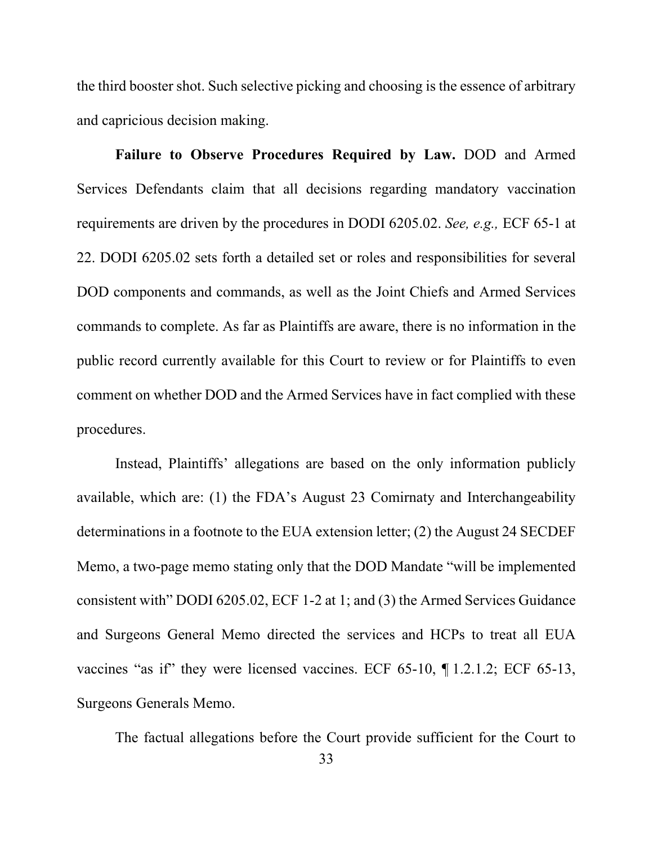the third booster shot. Such selective picking and choosing is the essence of arbitrary and capricious decision making.

**Failure to Observe Procedures Required by Law.** DOD and Armed Services Defendants claim that all decisions regarding mandatory vaccination requirements are driven by the procedures in DODI 6205.02. *See, e.g.,* ECF 65-1 at 22. DODI 6205.02 sets forth a detailed set or roles and responsibilities for several DOD components and commands, as well as the Joint Chiefs and Armed Services commands to complete. As far as Plaintiffs are aware, there is no information in the public record currently available for this Court to review or for Plaintiffs to even comment on whether DOD and the Armed Services have in fact complied with these procedures.

Instead, Plaintiffs' allegations are based on the only information publicly available, which are: (1) the FDA's August 23 Comirnaty and Interchangeability determinations in a footnote to the EUA extension letter; (2) the August 24 SECDEF Memo, a two-page memo stating only that the DOD Mandate "will be implemented consistent with" DODI 6205.02, ECF 1-2 at 1; and (3) the Armed Services Guidance and Surgeons General Memo directed the services and HCPs to treat all EUA vaccines "as if" they were licensed vaccines. ECF 65-10, ¶ 1.2.1.2; ECF 65-13, Surgeons Generals Memo.

The factual allegations before the Court provide sufficient for the Court to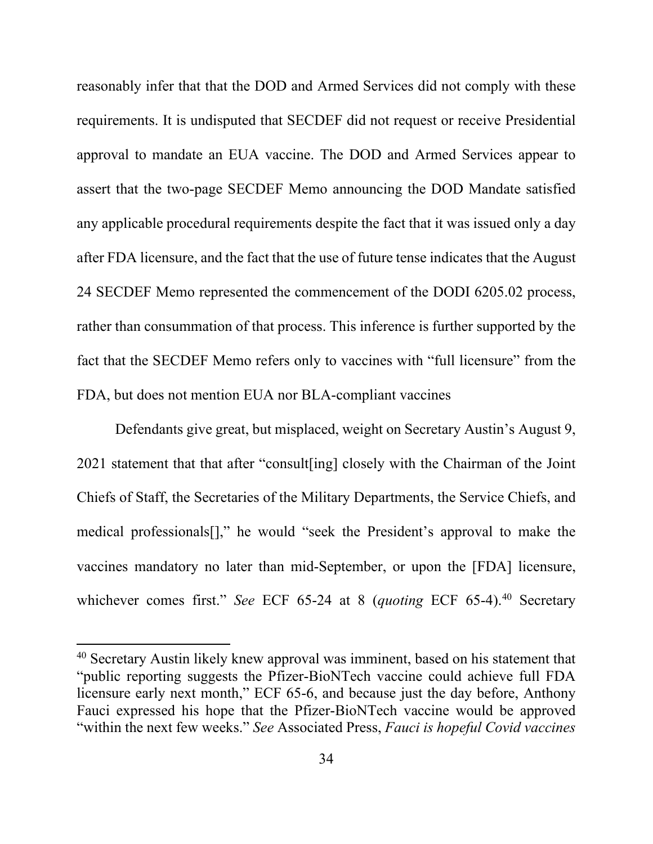reasonably infer that that the DOD and Armed Services did not comply with these requirements. It is undisputed that SECDEF did not request or receive Presidential approval to mandate an EUA vaccine. The DOD and Armed Services appear to assert that the two-page SECDEF Memo announcing the DOD Mandate satisfied any applicable procedural requirements despite the fact that it was issued only a day after FDA licensure, and the fact that the use of future tense indicates that the August 24 SECDEF Memo represented the commencement of the DODI 6205.02 process, rather than consummation of that process. This inference is further supported by the fact that the SECDEF Memo refers only to vaccines with "full licensure" from the FDA, but does not mention EUA nor BLA-compliant vaccines

Defendants give great, but misplaced, weight on Secretary Austin's August 9, 2021 statement that that after "consult[ing] closely with the Chairman of the Joint Chiefs of Staff, the Secretaries of the Military Departments, the Service Chiefs, and medical professionals[]," he would "seek the President's approval to make the vaccines mandatory no later than mid-September, or upon the [FDA] licensure, whichever comes first." *See* ECF 65-24 at 8 (*quoting* ECF 65-4).<sup>[40](#page-41-0)</sup> Secretary

<span id="page-41-0"></span><sup>40</sup> Secretary Austin likely knew approval was imminent, based on his statement that "public reporting suggests the Pfizer-BioNTech vaccine could achieve full FDA licensure early next month," ECF 65-6, and because just the day before, Anthony Fauci expressed his hope that the Pfizer-BioNTech vaccine would be approved "within the next few weeks." *See* Associated Press, *Fauci is hopeful Covid vaccines*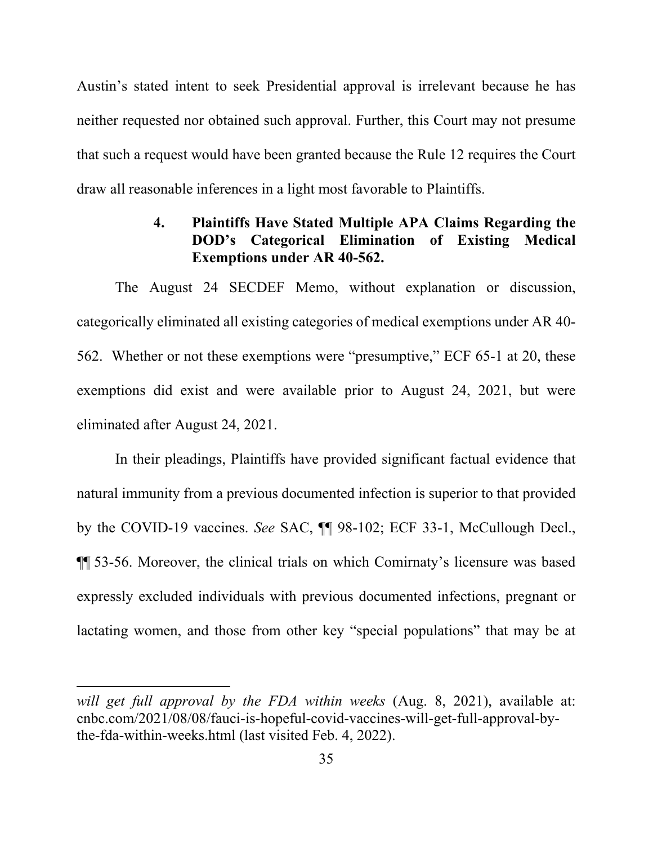Austin's stated intent to seek Presidential approval is irrelevant because he has neither requested nor obtained such approval. Further, this Court may not presume that such a request would have been granted because the Rule 12 requires the Court draw all reasonable inferences in a light most favorable to Plaintiffs.

## **4. Plaintiffs Have Stated Multiple APA Claims Regarding the DOD's Categorical Elimination of Existing Medical Exemptions under AR 40-562.**

The August 24 SECDEF Memo, without explanation or discussion, categorically eliminated all existing categories of medical exemptions under AR 40- 562. Whether or not these exemptions were "presumptive," ECF 65-1 at 20, these exemptions did exist and were available prior to August 24, 2021, but were eliminated after August 24, 2021.

In their pleadings, Plaintiffs have provided significant factual evidence that natural immunity from a previous documented infection is superior to that provided by the COVID-19 vaccines. *See* SAC, ¶¶ 98-102; ECF 33-1, McCullough Decl., ¶¶ 53-56. Moreover, the clinical trials on which Comirnaty's licensure was based expressly excluded individuals with previous documented infections, pregnant or lactating women, and those from other key "special populations" that may be at

*will get full approval by the FDA within weeks* (Aug. 8, 2021), available at: cnbc.com/2021/08/08/fauci-is-hopeful-covid-vaccines-will-get-full-approval-bythe-fda-within-weeks.html (last visited Feb. 4, 2022).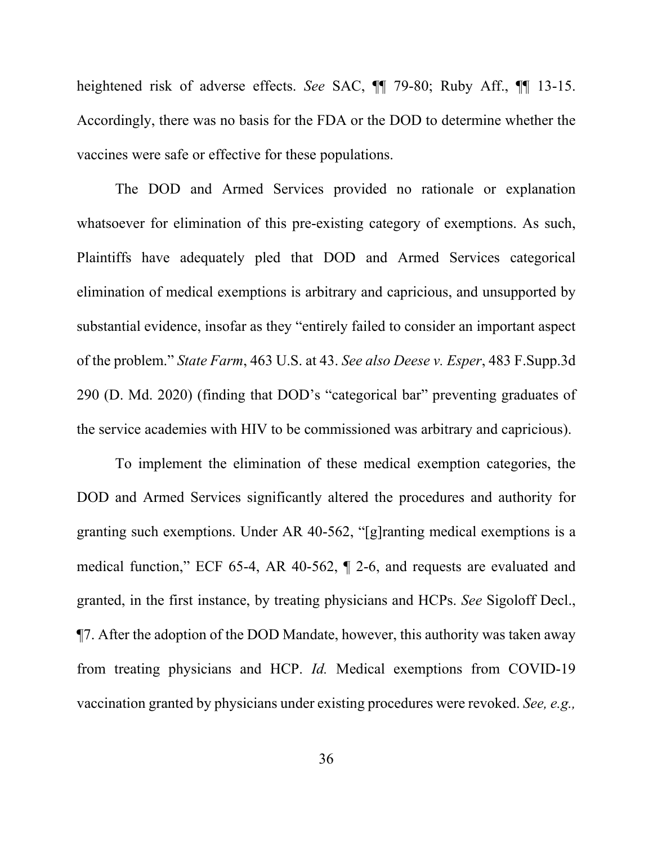heightened risk of adverse effects. *See* SAC, ¶¶ 79-80; Ruby Aff., ¶¶ 13-15. Accordingly, there was no basis for the FDA or the DOD to determine whether the vaccines were safe or effective for these populations.

The DOD and Armed Services provided no rationale or explanation whatsoever for elimination of this pre-existing category of exemptions. As such, Plaintiffs have adequately pled that DOD and Armed Services categorical elimination of medical exemptions is arbitrary and capricious, and unsupported by substantial evidence, insofar as they "entirely failed to consider an important aspect of the problem." *State Farm*, 463 U.S. at 43. *See also Deese v. Esper*, 483 F.Supp.3d 290 (D. Md. 2020) (finding that DOD's "categorical bar" preventing graduates of the service academies with HIV to be commissioned was arbitrary and capricious).

To implement the elimination of these medical exemption categories, the DOD and Armed Services significantly altered the procedures and authority for granting such exemptions. Under AR 40-562, "[g]ranting medical exemptions is a medical function," ECF 65-4, AR 40-562, ¶ 2-6, and requests are evaluated and granted, in the first instance, by treating physicians and HCPs. *See* Sigoloff Decl., ¶7. After the adoption of the DOD Mandate, however, this authority was taken away from treating physicians and HCP. *Id.* Medical exemptions from COVID-19 vaccination granted by physicians under existing procedures were revoked. *See, e.g.,*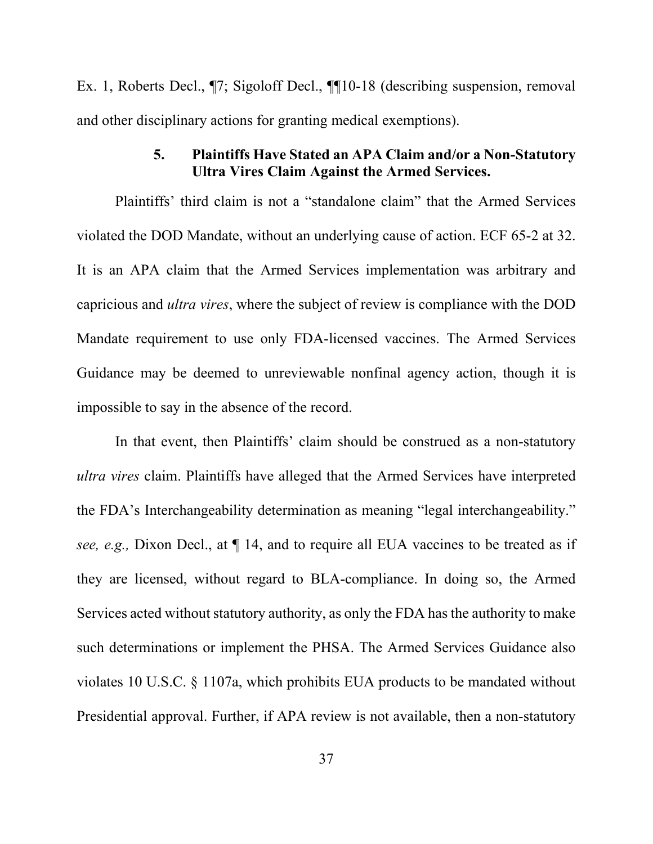Ex. 1, Roberts Decl., ¶7; Sigoloff Decl., ¶¶10-18 (describing suspension, removal and other disciplinary actions for granting medical exemptions).

## **5. Plaintiffs Have Stated an APA Claim and/or a Non-Statutory Ultra Vires Claim Against the Armed Services.**

Plaintiffs' third claim is not a "standalone claim" that the Armed Services violated the DOD Mandate, without an underlying cause of action. ECF 65-2 at 32. It is an APA claim that the Armed Services implementation was arbitrary and capricious and *ultra vires*, where the subject of review is compliance with the DOD Mandate requirement to use only FDA-licensed vaccines. The Armed Services Guidance may be deemed to unreviewable nonfinal agency action, though it is impossible to say in the absence of the record.

In that event, then Plaintiffs' claim should be construed as a non-statutory *ultra vires* claim. Plaintiffs have alleged that the Armed Services have interpreted the FDA's Interchangeability determination as meaning "legal interchangeability." *see, e.g.,* Dixon Decl., at ¶ 14, and to require all EUA vaccines to be treated as if they are licensed, without regard to BLA-compliance. In doing so, the Armed Services acted without statutory authority, as only the FDA has the authority to make such determinations or implement the PHSA. The Armed Services Guidance also violates 10 U.S.C. § 1107a, which prohibits EUA products to be mandated without Presidential approval. Further, if APA review is not available, then a non-statutory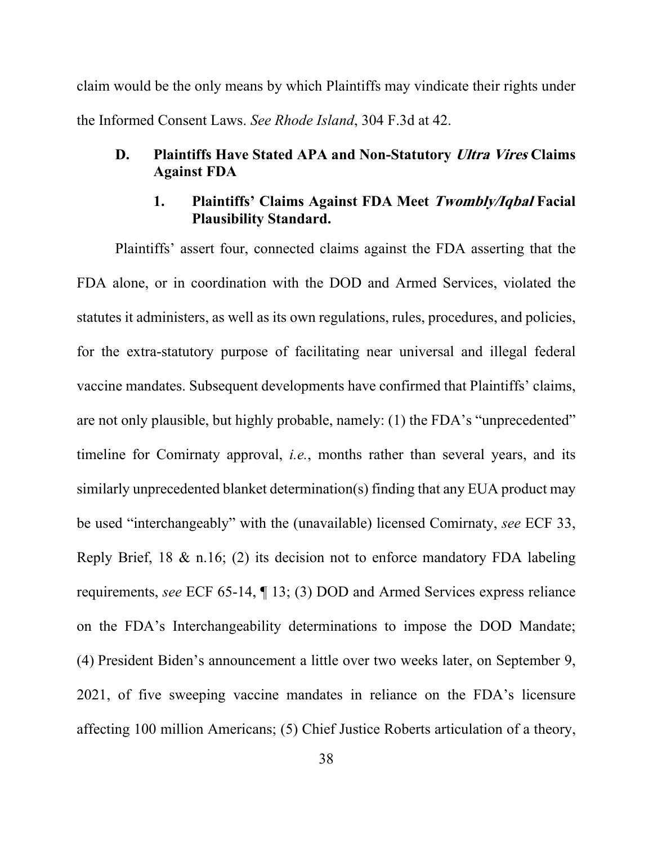claim would be the only means by which Plaintiffs may vindicate their rights under the Informed Consent Laws. *See Rhode Island*, 304 F.3d at 42.

## **D. Plaintiffs Have Stated APA and Non-Statutory Ultra Vires Claims Against FDA**

## **1. Plaintiffs' Claims Against FDA Meet Twombly/Iqbal Facial Plausibility Standard.**

Plaintiffs' assert four, connected claims against the FDA asserting that the FDA alone, or in coordination with the DOD and Armed Services, violated the statutes it administers, as well as its own regulations, rules, procedures, and policies, for the extra-statutory purpose of facilitating near universal and illegal federal vaccine mandates. Subsequent developments have confirmed that Plaintiffs' claims, are not only plausible, but highly probable, namely: (1) the FDA's "unprecedented" timeline for Comirnaty approval, *i.e.*, months rather than several years, and its similarly unprecedented blanket determination(s) finding that any EUA product may be used "interchangeably" with the (unavailable) licensed Comirnaty, *see* ECF 33, Reply Brief, 18 & n.16; (2) its decision not to enforce mandatory FDA labeling requirements, *see* ECF 65-14, ¶ 13; (3) DOD and Armed Services express reliance on the FDA's Interchangeability determinations to impose the DOD Mandate; (4) President Biden's announcement a little over two weeks later, on September 9, 2021, of five sweeping vaccine mandates in reliance on the FDA's licensure affecting 100 million Americans; (5) Chief Justice Roberts articulation of a theory,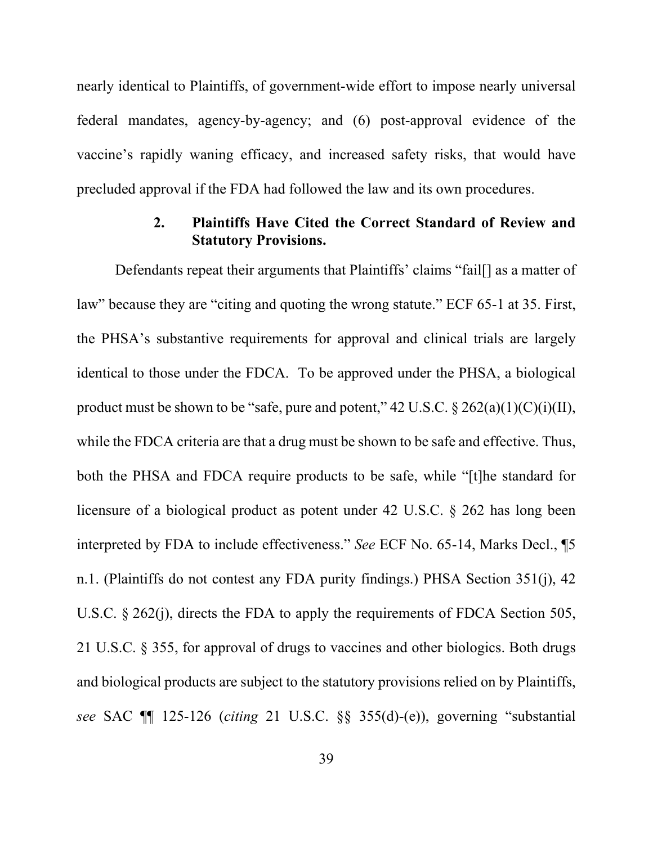nearly identical to Plaintiffs, of government-wide effort to impose nearly universal federal mandates, agency-by-agency; and (6) post-approval evidence of the vaccine's rapidly waning efficacy, and increased safety risks, that would have precluded approval if the FDA had followed the law and its own procedures.

## **2. Plaintiffs Have Cited the Correct Standard of Review and Statutory Provisions.**

Defendants repeat their arguments that Plaintiffs' claims "fail<sup>[]</sup> as a matter of law" because they are "citing and quoting the wrong statute." ECF 65-1 at 35. First, the PHSA's substantive requirements for approval and clinical trials are largely identical to those under the FDCA. To be approved under the PHSA, a biological product must be shown to be "safe, pure and potent,"  $42 \text{ U.S.C.}$  §  $262(a)(1)(C)(i)(II)$ , while the FDCA criteria are that a drug must be shown to be safe and effective. Thus, both the PHSA and FDCA require products to be safe, while "[t]he standard for licensure of a biological product as potent under 42 U.S.C. § 262 has long been interpreted by FDA to include effectiveness." *See* ECF No. 65-14, Marks Decl., ¶5 n.1. (Plaintiffs do not contest any FDA purity findings.) PHSA Section 351(j), 42 U.S.C. § 262(j), directs the FDA to apply the requirements of FDCA Section 505, 21 U.S.C. § 355, for approval of drugs to vaccines and other biologics. Both drugs and biological products are subject to the statutory provisions relied on by Plaintiffs, *see* SAC ¶¶ 125-126 (*citing* 21 U.S.C. §§ 355(d)-(e)), governing "substantial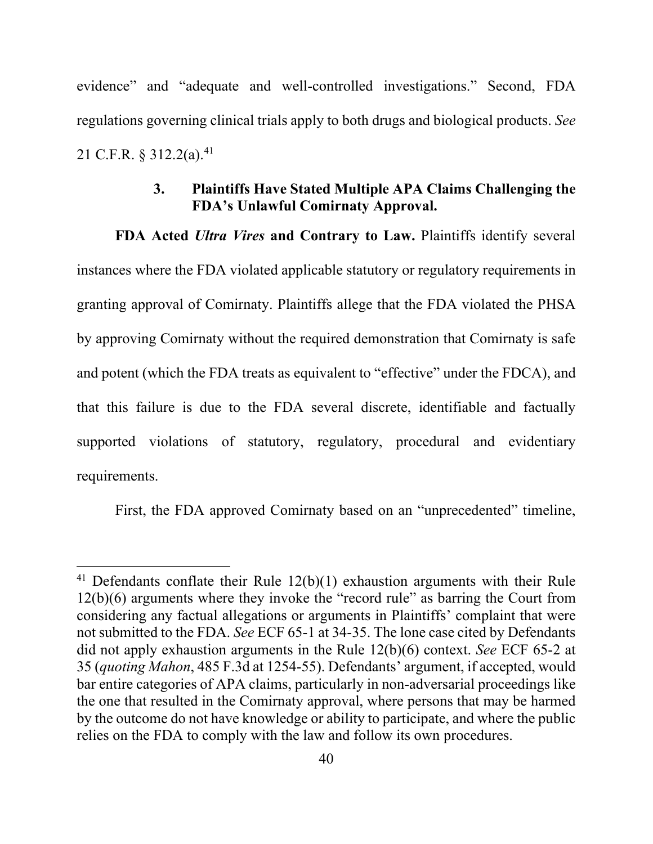evidence" and "adequate and well-controlled investigations." Second, FDA regulations governing clinical trials apply to both drugs and biological products. *See*  21 C.F.R.  $§$  312.2(a).<sup>[41](#page-47-0)</sup>

## **3. Plaintiffs Have Stated Multiple APA Claims Challenging the FDA's Unlawful Comirnaty Approval.**

**FDA Acted** *Ultra Vires* **and Contrary to Law.** Plaintiffs identify several instances where the FDA violated applicable statutory or regulatory requirements in granting approval of Comirnaty. Plaintiffs allege that the FDA violated the PHSA by approving Comirnaty without the required demonstration that Comirnaty is safe and potent (which the FDA treats as equivalent to "effective" under the FDCA), and that this failure is due to the FDA several discrete, identifiable and factually supported violations of statutory, regulatory, procedural and evidentiary requirements.

First, the FDA approved Comirnaty based on an "unprecedented" timeline,

<span id="page-47-0"></span><sup>&</sup>lt;sup>41</sup> Defendants conflate their Rule  $12(b)(1)$  exhaustion arguments with their Rule 12(b)(6) arguments where they invoke the "record rule" as barring the Court from considering any factual allegations or arguments in Plaintiffs' complaint that were not submitted to the FDA. *See* ECF 65-1 at 34-35. The lone case cited by Defendants did not apply exhaustion arguments in the Rule 12(b)(6) context. *See* ECF 65-2 at 35 (*quoting Mahon*, 485 F.3d at 1254-55). Defendants' argument, if accepted, would bar entire categories of APA claims, particularly in non-adversarial proceedings like the one that resulted in the Comirnaty approval, where persons that may be harmed by the outcome do not have knowledge or ability to participate, and where the public relies on the FDA to comply with the law and follow its own procedures.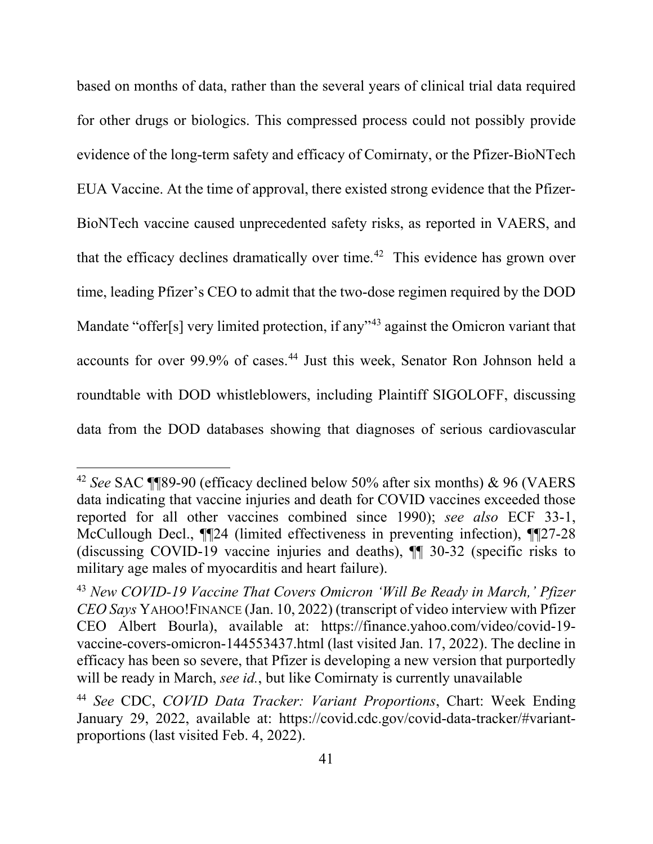based on months of data, rather than the several years of clinical trial data required for other drugs or biologics. This compressed process could not possibly provide evidence of the long-term safety and efficacy of Comirnaty, or the Pfizer-BioNTech EUA Vaccine. At the time of approval, there existed strong evidence that the Pfizer-BioNTech vaccine caused unprecedented safety risks, as reported in VAERS, and that the efficacy declines dramatically over time. [42](#page-48-0) This evidence has grown over time, leading Pfizer's CEO to admit that the two-dose regimen required by the DOD Mandate "offer[s] very limited protection, if any"<sup>[43](#page-48-1)</sup> against the Omicron variant that accounts for over 99.9% of cases. [44](#page-48-2) Just this week, Senator Ron Johnson held a roundtable with DOD whistleblowers, including Plaintiff SIGOLOFF, discussing data from the DOD databases showing that diagnoses of serious cardiovascular

<span id="page-48-0"></span><sup>42</sup> *See* SAC ¶¶89-90 (efficacy declined below 50% after six months) & 96 (VAERS data indicating that vaccine injuries and death for COVID vaccines exceeded those reported for all other vaccines combined since 1990); *see also* ECF 33-1, McCullough Decl., ¶¶24 (limited effectiveness in preventing infection), ¶¶27-28 (discussing COVID-19 vaccine injuries and deaths), ¶¶ 30-32 (specific risks to military age males of myocarditis and heart failure).

<span id="page-48-1"></span><sup>43</sup> *New COVID-19 Vaccine That Covers Omicron 'Will Be Ready in March,' Pfizer CEO Says* YAHOO!FINANCE (Jan. 10, 2022) (transcript of video interview with Pfizer CEO Albert Bourla), available at: https://finance.yahoo.com/video/covid-19 vaccine-covers-omicron-144553437.html (last visited Jan. 17, 2022). The decline in efficacy has been so severe, that Pfizer is developing a new version that purportedly will be ready in March, *see id.*, but like Comirnaty is currently unavailable

<span id="page-48-2"></span><sup>44</sup> *See* CDC, *COVID Data Tracker: Variant Proportions*, Chart: Week Ending January 29, 2022, available at: https://covid.cdc.gov/covid-data-tracker/#variantproportions (last visited Feb. 4, 2022).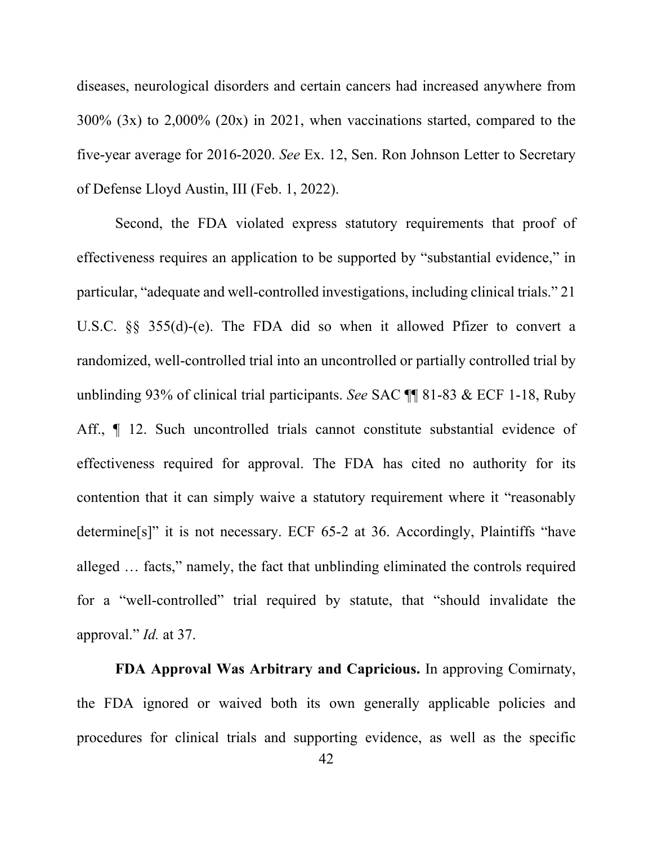diseases, neurological disorders and certain cancers had increased anywhere from 300% (3x) to 2,000% (20x) in 2021, when vaccinations started, compared to the five-year average for 2016-2020. *See* Ex. 12, Sen. Ron Johnson Letter to Secretary of Defense Lloyd Austin, III (Feb. 1, 2022).

Second, the FDA violated express statutory requirements that proof of effectiveness requires an application to be supported by "substantial evidence," in particular, "adequate and well-controlled investigations, including clinical trials." 21 U.S.C. §§ 355(d)-(e). The FDA did so when it allowed Pfizer to convert a randomized, well-controlled trial into an uncontrolled or partially controlled trial by unblinding 93% of clinical trial participants. *See* SAC ¶¶ 81-83 & ECF 1-18, Ruby Aff.,  $\P$  12. Such uncontrolled trials cannot constitute substantial evidence of effectiveness required for approval. The FDA has cited no authority for its contention that it can simply waive a statutory requirement where it "reasonably determine[s]" it is not necessary. ECF 65-2 at 36. Accordingly, Plaintiffs "have alleged … facts," namely, the fact that unblinding eliminated the controls required for a "well-controlled" trial required by statute, that "should invalidate the approval." *Id.* at 37.

**FDA Approval Was Arbitrary and Capricious.** In approving Comirnaty, the FDA ignored or waived both its own generally applicable policies and procedures for clinical trials and supporting evidence, as well as the specific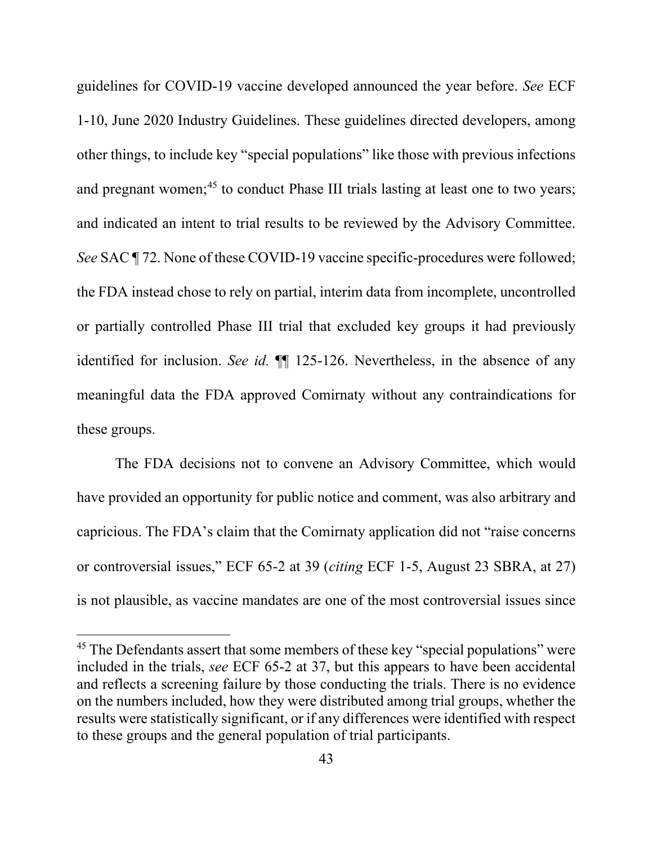guidelines for COVID-19 vaccine developed announced the year before. *See* ECF 1-10, June 2020 Industry Guidelines. These guidelines directed developers, among other things, to include key "special populations" like those with previous infections and pregnant women;<sup>[45](#page-50-0)</sup> to conduct Phase III trials lasting at least one to two years; and indicated an intent to trial results to be reviewed by the Advisory Committee. *See* SAC ¶ 72. None of these COVID-19 vaccine specific-procedures were followed; the FDA instead chose to rely on partial, interim data from incomplete, uncontrolled or partially controlled Phase III trial that excluded key groups it had previously identified for inclusion. *See id.* ¶¶ 125-126. Nevertheless, in the absence of any meaningful data the FDA approved Comirnaty without any contraindications for these groups.

The FDA decisions not to convene an Advisory Committee, which would have provided an opportunity for public notice and comment, was also arbitrary and capricious. The FDA's claim that the Comirnaty application did not "raise concerns or controversial issues," ECF 65-2 at 39 (*citing* ECF 1-5, August 23 SBRA, at 27) is not plausible, as vaccine mandates are one of the most controversial issues since

<span id="page-50-0"></span><sup>&</sup>lt;sup>45</sup> The Defendants assert that some members of these key "special populations" were included in the trials, *see* ECF 65-2 at 37, but this appears to have been accidental and reflects a screening failure by those conducting the trials. There is no evidence on the numbers included, how they were distributed among trial groups, whether the results were statistically significant, or if any differences were identified with respect to these groups and the general population of trial participants.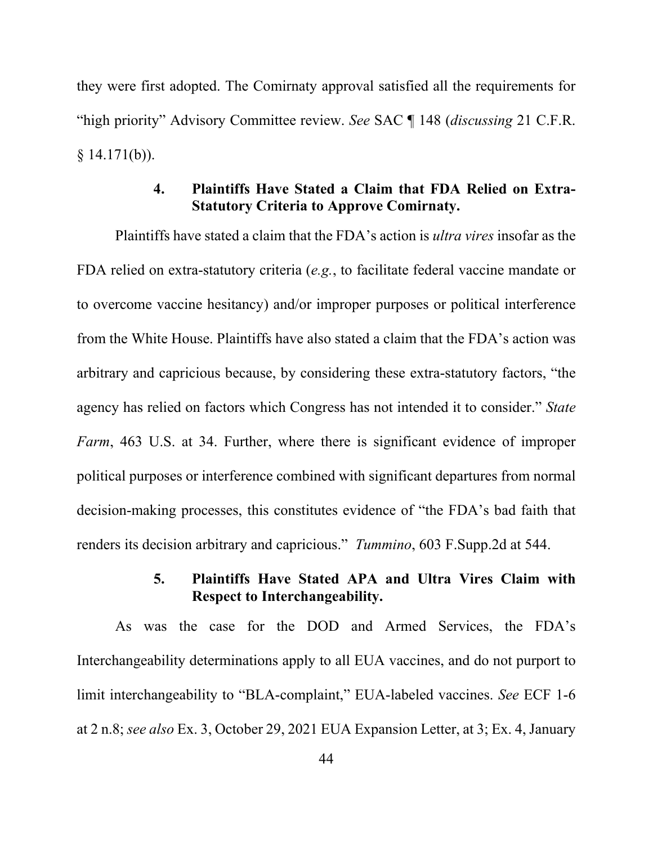they were first adopted. The Comirnaty approval satisfied all the requirements for "high priority" Advisory Committee review. *See* SAC ¶ 148 (*discussing* 21 C.F.R.  $§$  14.171(b)).

## **4. Plaintiffs Have Stated a Claim that FDA Relied on Extra-Statutory Criteria to Approve Comirnaty.**

Plaintiffs have stated a claim that the FDA's action is *ultra vires* insofar as the FDA relied on extra-statutory criteria (*e.g.*, to facilitate federal vaccine mandate or to overcome vaccine hesitancy) and/or improper purposes or political interference from the White House. Plaintiffs have also stated a claim that the FDA's action was arbitrary and capricious because, by considering these extra-statutory factors, "the agency has relied on factors which Congress has not intended it to consider." *State Farm*, 463 U.S. at 34. Further, where there is significant evidence of improper political purposes or interference combined with significant departures from normal decision-making processes, this constitutes evidence of "the FDA's bad faith that renders its decision arbitrary and capricious." *Tummino*, 603 F.Supp.2d at 544.

## **5. Plaintiffs Have Stated APA and Ultra Vires Claim with Respect to Interchangeability.**

<span id="page-51-0"></span>As was the case for the DOD and Armed Services, the FDA's Interchangeability determinations apply to all EUA vaccines, and do not purport to limit interchangeability to "BLA-complaint," EUA-labeled vaccines. *See* ECF 1-6 at 2 n.8; *see also* Ex. 3, October 29, 2021 EUA Expansion Letter, at 3; Ex. 4, January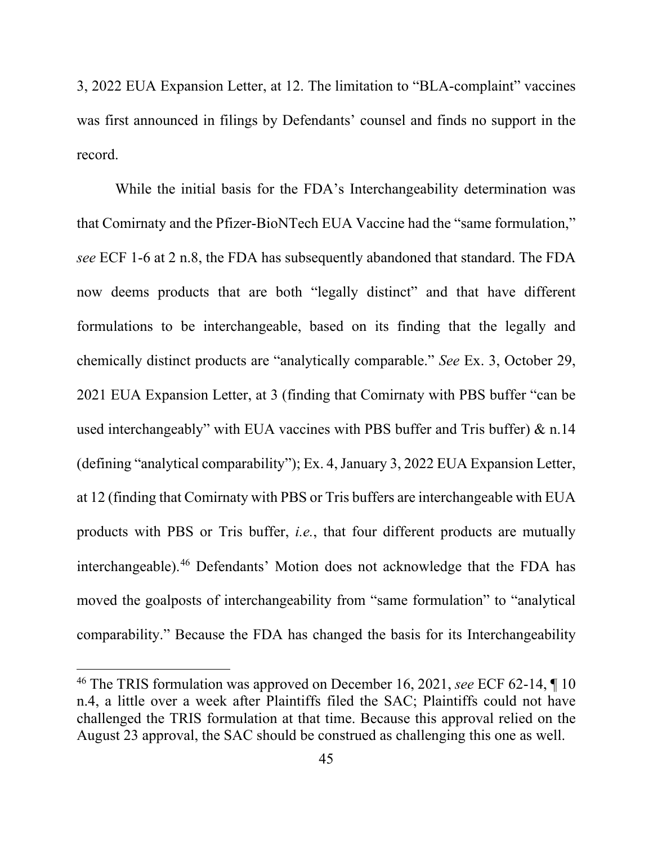3, 2022 EUA Expansion Letter, at 12. The limitation to "BLA-complaint" vaccines was first announced in filings by Defendants' counsel and finds no support in the record.

While the initial basis for the FDA's Interchangeability determination was that Comirnaty and the Pfizer-BioNTech EUA Vaccine had the "same formulation," *see* ECF 1-6 at 2 n.8, the FDA has subsequently abandoned that standard. The FDA now deems products that are both "legally distinct" and that have different formulations to be interchangeable, based on its finding that the legally and chemically distinct products are "analytically comparable." *See* Ex. 3, October 29, 2021 EUA Expansion Letter, at 3 (finding that Comirnaty with PBS buffer "can be used interchangeably" with EUA vaccines with PBS buffer and Tris buffer) & n.14 (defining "analytical comparability"); Ex. 4, January 3, 2022 EUA Expansion Letter, at 12 (finding that Comirnaty with PBS or Tris buffers are interchangeable with EUA products with PBS or Tris buffer, *i.e.*, that four different products are mutually interchangeable).[46](#page-52-0) Defendants' Motion does not acknowledge that the FDA has moved the goalposts of interchangeability from "same formulation" to "analytical comparability." Because the FDA has changed the basis for its Interchangeability

<span id="page-52-0"></span><sup>46</sup> The TRIS formulation was approved on December 16, 2021, *see* ECF 62-14, ¶ 10 n.4, a little over a week after Plaintiffs filed the SAC; Plaintiffs could not have challenged the TRIS formulation at that time. Because this approval relied on the August 23 approval, the SAC should be construed as challenging this one as well.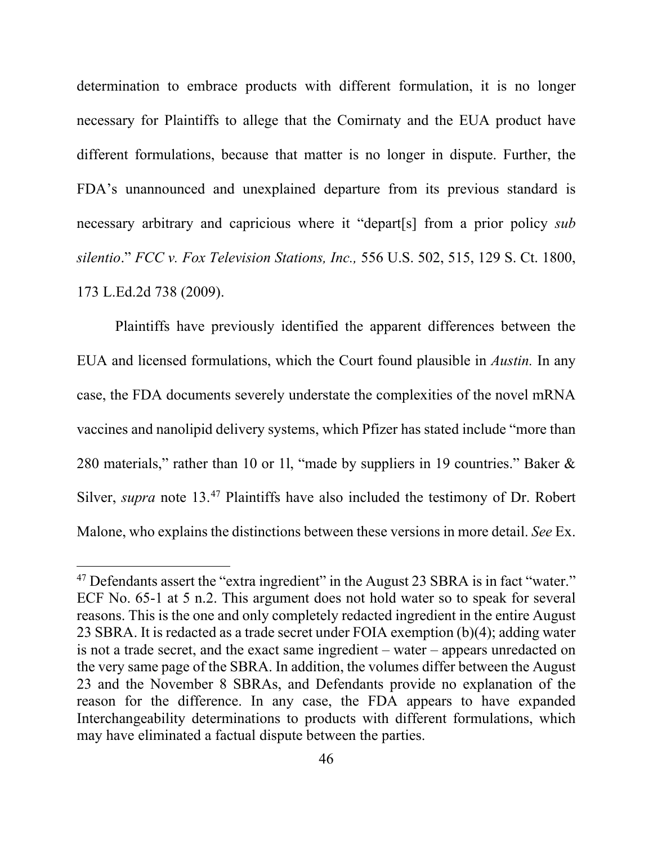determination to embrace products with different formulation, it is no longer necessary for Plaintiffs to allege that the Comirnaty and the EUA product have different formulations, because that matter is no longer in dispute. Further, the FDA's unannounced and unexplained departure from its previous standard is necessary arbitrary and capricious where it "depart[s] from a prior policy *sub silentio*." *FCC v. Fox Television Stations, Inc.,* 556 U.S. 502, 515, 129 S. Ct. 1800, 173 L.Ed.2d 738 (2009).

Plaintiffs have previously identified the apparent differences between the EUA and licensed formulations, which the Court found plausible in *Austin.* In any case, the FDA documents severely understate the complexities of the novel mRNA vaccines and nanolipid delivery systems, which Pfizer has stated include "more than 280 materials," rather than 10 or 1l, "made by suppliers in 19 countries." Baker & Silver, *supra* note [13.](#page-13-4) [47](#page-53-0) Plaintiffs have also included the testimony of Dr. Robert Malone, who explains the distinctions between these versions in more detail. *See* Ex.

<span id="page-53-0"></span><sup>&</sup>lt;sup>47</sup> Defendants assert the "extra ingredient" in the August 23 SBRA is in fact "water." ECF No. 65-1 at 5 n.2. This argument does not hold water so to speak for several reasons. This is the one and only completely redacted ingredient in the entire August 23 SBRA. It is redacted as a trade secret under FOIA exemption (b)(4); adding water is not a trade secret, and the exact same ingredient – water – appears unredacted on the very same page of the SBRA. In addition, the volumes differ between the August 23 and the November 8 SBRAs, and Defendants provide no explanation of the reason for the difference. In any case, the FDA appears to have expanded Interchangeability determinations to products with different formulations, which may have eliminated a factual dispute between the parties.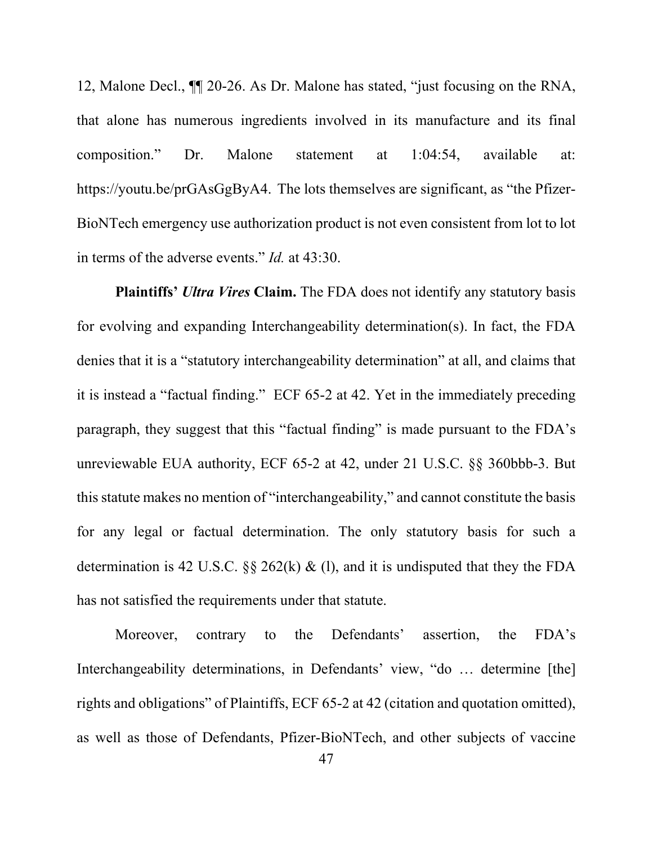12, Malone Decl., ¶¶ 20-26. As Dr. Malone has stated, "just focusing on the RNA, that alone has numerous ingredients involved in its manufacture and its final composition." Dr. Malone statement at 1:04:54, available at: https://youtu.be/prGAsGgByA4. The lots themselves are significant, as "the Pfizer-BioNTech emergency use authorization product is not even consistent from lot to lot in terms of the adverse events." *Id.* at 43:30.

**Plaintiffs'** *Ultra Vires* **Claim.** The FDA does not identify any statutory basis for evolving and expanding Interchangeability determination(s). In fact, the FDA denies that it is a "statutory interchangeability determination" at all, and claims that it is instead a "factual finding." ECF 65-2 at 42. Yet in the immediately preceding paragraph, they suggest that this "factual finding" is made pursuant to the FDA's unreviewable EUA authority, ECF 65-2 at 42, under 21 U.S.C. §§ 360bbb-3. But this statute makes no mention of "interchangeability," and cannot constitute the basis for any legal or factual determination. The only statutory basis for such a determination is 42 U.S.C.  $\S\S 262(k) \&$  (l), and it is undisputed that they the FDA has not satisfied the requirements under that statute.

Moreover, contrary to the Defendants' assertion, the FDA's Interchangeability determinations, in Defendants' view, "do … determine [the] rights and obligations" of Plaintiffs, ECF 65-2 at 42 (citation and quotation omitted), as well as those of Defendants, Pfizer-BioNTech, and other subjects of vaccine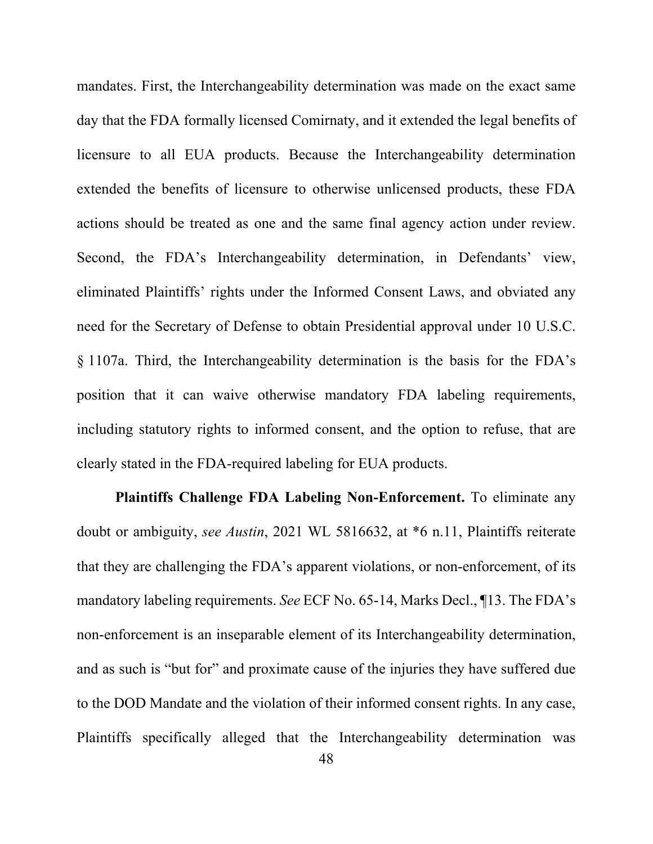mandates. First, the Interchangeability determination was made on the exact same day that the FDA formally licensed Comirnaty, and it extended the legal benefits of licensure to all EUA products. Because the Interchangeability determination extended the benefits of licensure to otherwise unlicensed products, these FDA actions should be treated as one and the same final agency action under review. Second, the FDA's Interchangeability determination, in Defendants' view, eliminated Plaintiffs' rights under the Informed Consent Laws, and obviated any need for the Secretary of Defense to obtain Presidential approval under 10 U.S.C. § 1107a. Third, the Interchangeability determination is the basis for the FDA's position that it can waive otherwise mandatory FDA labeling requirements, including statutory rights to informed consent, and the option to refuse, that are clearly stated in the FDA-required labeling for EUA products.

**Plaintiffs Challenge FDA Labeling Non-Enforcement.** To eliminate any doubt or ambiguity, *see Austin*, 2021 WL 5816632, at \*6 n.11, Plaintiffs reiterate that they are challenging the FDA's apparent violations, or non-enforcement, of its mandatory labeling requirements. *See* ECF No. 65-14, Marks Decl., ¶13. The FDA's non-enforcement is an inseparable element of its Interchangeability determination, and as such is "but for" and proximate cause of the injuries they have suffered due to the DOD Mandate and the violation of their informed consent rights. In any case, Plaintiffs specifically alleged that the Interchangeability determination was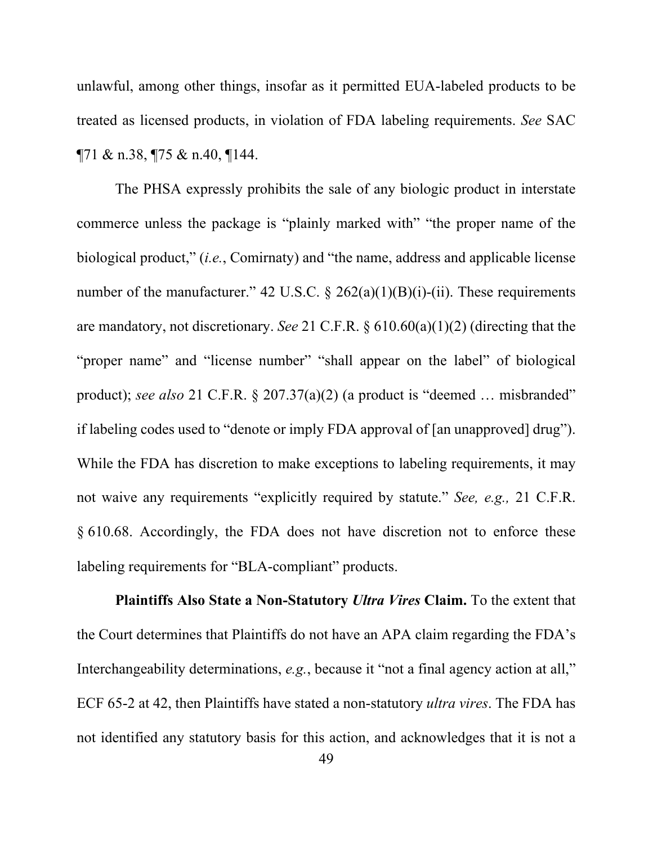unlawful, among other things, insofar as it permitted EUA-labeled products to be treated as licensed products, in violation of FDA labeling requirements. *See* SAC ¶71 & n.38, ¶75 & n.40, ¶144.

The PHSA expressly prohibits the sale of any biologic product in interstate commerce unless the package is "plainly marked with" "the proper name of the biological product," (*i.e.*, Comirnaty) and "the name, address and applicable license number of the manufacturer." 42 U.S.C.  $\S$  262(a)(1)(B)(i)-(ii). These requirements are mandatory, not discretionary. *See* 21 C.F.R. § 610.60(a)(1)(2) (directing that the "proper name" and "license number" "shall appear on the label" of biological product); *see also* 21 C.F.R. § 207.37(a)(2) (a product is "deemed … misbranded" if labeling codes used to "denote or imply FDA approval of [an unapproved] drug"). While the FDA has discretion to make exceptions to labeling requirements, it may not waive any requirements "explicitly required by statute." *See, e.g.,* 21 C.F.R. § 610.68. Accordingly, the FDA does not have discretion not to enforce these labeling requirements for "BLA-compliant" products.

**Plaintiffs Also State a Non-Statutory** *Ultra Vires* **Claim.** To the extent that the Court determines that Plaintiffs do not have an APA claim regarding the FDA's Interchangeability determinations, *e.g.*, because it "not a final agency action at all," ECF 65-2 at 42, then Plaintiffs have stated a non-statutory *ultra vires*. The FDA has not identified any statutory basis for this action, and acknowledges that it is not a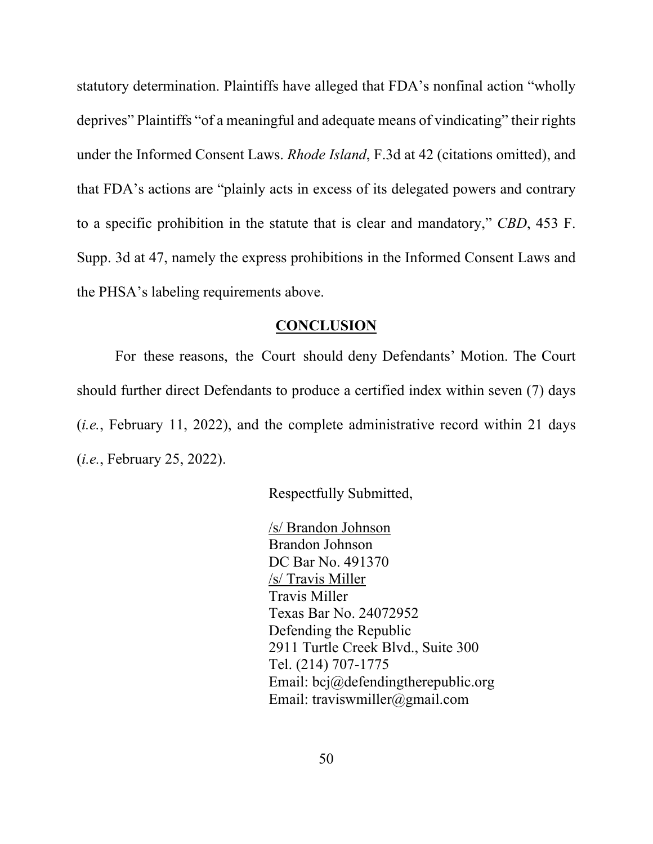statutory determination. Plaintiffs have alleged that FDA's nonfinal action "wholly deprives" Plaintiffs "of a meaningful and adequate means of vindicating" their rights under the Informed Consent Laws. *Rhode Island*, F.3d at 42 (citations omitted), and that FDA's actions are "plainly acts in excess of its delegated powers and contrary to a specific prohibition in the statute that is clear and mandatory," *CBD*, 453 F. Supp. 3d at 47, namely the express prohibitions in the Informed Consent Laws and the PHSA's labeling requirements above.

#### **CONCLUSION**

For these reasons, the Court should deny Defendants' Motion. The Court should further direct Defendants to produce a certified index within seven (7) days (*i.e.*, February 11, 2022), and the complete administrative record within 21 days (*i.e.*, February 25, 2022).

Respectfully Submitted,

/s/ Brandon Johnson Brandon Johnson DC Bar No. 491370 /s/ Travis Miller Travis Miller Texas Bar No. 24072952 Defending the Republic 2911 Turtle Creek Blvd., Suite 300 Tel. (214) 707-1775 Email: bcj@defendingtherepublic.org Email: traviswmiller@gmail.com